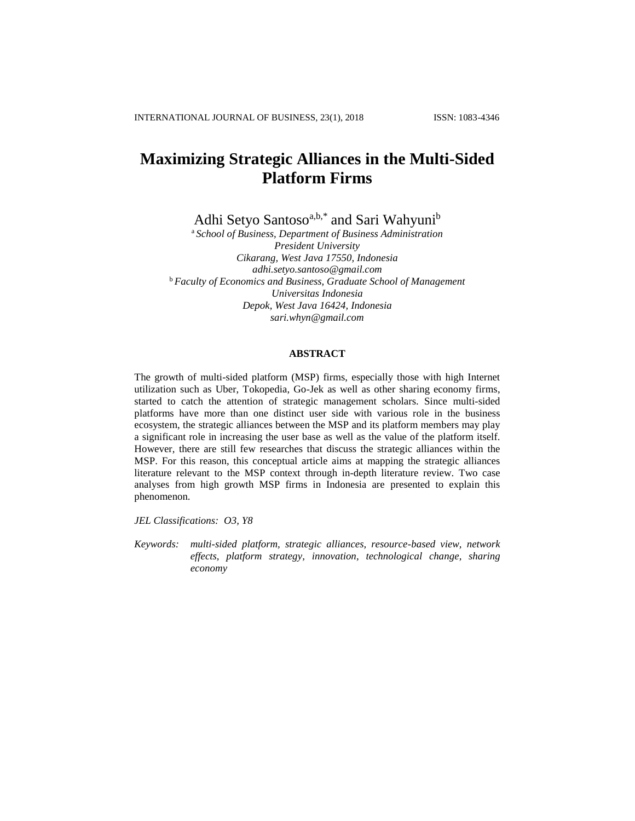# **Maximizing Strategic Alliances in the Multi-Sided Platform Firms**

Adhi Setyo Santoso<sup>a,b,\*</sup> and Sari Wahyuni<sup>b</sup>

<sup>a</sup> *School of Business, Department of Business Administration President University Cikarang, West Java 17550, Indonesia adhi.setyo.santoso@gmail.com* <sup>b</sup> *Faculty of Economics and Business, Graduate School of Management Universitas Indonesia Depok, West Java 16424, Indonesia sari.whyn@gmail.com*

# **ABSTRACT**

The growth of multi-sided platform (MSP) firms, especially those with high Internet utilization such as Uber, Tokopedia, Go-Jek as well as other sharing economy firms, started to catch the attention of strategic management scholars. Since multi-sided platforms have more than one distinct user side with various role in the business ecosystem, the strategic alliances between the MSP and its platform members may play a significant role in increasing the user base as well as the value of the platform itself. However, there are still few researches that discuss the strategic alliances within the MSP. For this reason, this conceptual article aims at mapping the strategic alliances literature relevant to the MSP context through in-depth literature review. Two case analyses from high growth MSP firms in Indonesia are presented to explain this phenomenon.

*JEL Classifications: O3, Y8*

*Keywords: multi-sided platform, strategic alliances, resource-based view, network effects, platform strategy, innovation, technological change, sharing economy*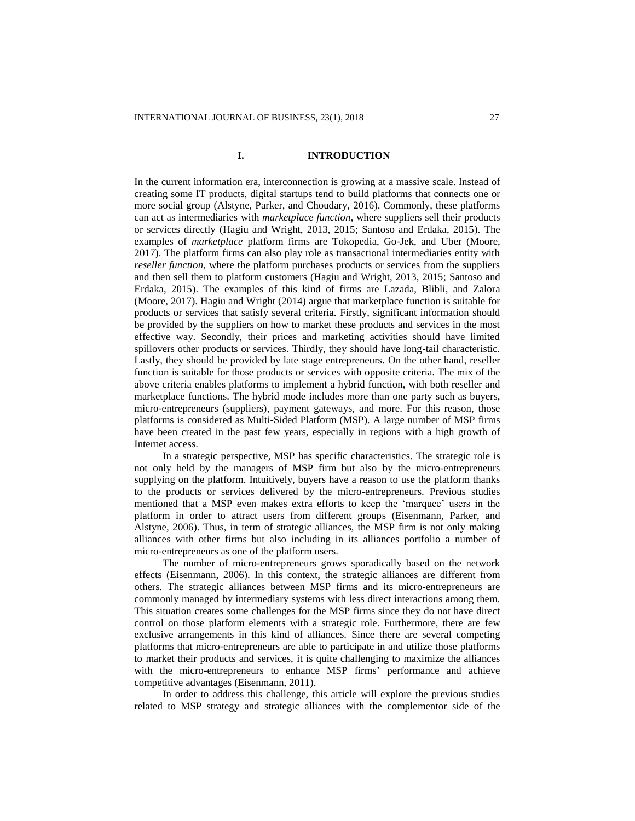## **I. INTRODUCTION**

In the current information era, interconnection is growing at a massive scale. Instead of creating some IT products, digital startups tend to build platforms that connects one or more social group (Alstyne, Parker, and Choudary, 2016). Commonly, these platforms can act as intermediaries with *marketplace function*, where suppliers sell their products or services directly (Hagiu and Wright, 2013, 2015; Santoso and Erdaka, 2015). The examples of *marketplace* platform firms are Tokopedia, Go-Jek, and Uber (Moore, 2017). The platform firms can also play role as transactional intermediaries entity with *reseller function*, where the platform purchases products or services from the suppliers and then sell them to platform customers (Hagiu and Wright, 2013, 2015; Santoso and Erdaka, 2015). The examples of this kind of firms are Lazada, Blibli, and Zalora (Moore, 2017). Hagiu and Wright (2014) argue that marketplace function is suitable for products or services that satisfy several criteria. Firstly, significant information should be provided by the suppliers on how to market these products and services in the most effective way. Secondly, their prices and marketing activities should have limited spillovers other products or services. Thirdly, they should have long-tail characteristic. Lastly, they should be provided by late stage entrepreneurs. On the other hand, reseller function is suitable for those products or services with opposite criteria. The mix of the above criteria enables platforms to implement a hybrid function, with both reseller and marketplace functions. The hybrid mode includes more than one party such as buyers, micro-entrepreneurs (suppliers), payment gateways, and more. For this reason, those platforms is considered as Multi-Sided Platform (MSP). A large number of MSP firms have been created in the past few years, especially in regions with a high growth of Internet access.

In a strategic perspective, MSP has specific characteristics. The strategic role is not only held by the managers of MSP firm but also by the micro-entrepreneurs supplying on the platform. Intuitively, buyers have a reason to use the platform thanks to the products or services delivered by the micro-entrepreneurs. Previous studies mentioned that a MSP even makes extra efforts to keep the 'marquee' users in the platform in order to attract users from different groups (Eisenmann, Parker, and Alstyne, 2006). Thus, in term of strategic alliances, the MSP firm is not only making alliances with other firms but also including in its alliances portfolio a number of micro-entrepreneurs as one of the platform users.

The number of micro-entrepreneurs grows sporadically based on the network effects (Eisenmann, 2006). In this context, the strategic alliances are different from others. The strategic alliances between MSP firms and its micro-entrepreneurs are commonly managed by intermediary systems with less direct interactions among them. This situation creates some challenges for the MSP firms since they do not have direct control on those platform elements with a strategic role. Furthermore, there are few exclusive arrangements in this kind of alliances. Since there are several competing platforms that micro-entrepreneurs are able to participate in and utilize those platforms to market their products and services, it is quite challenging to maximize the alliances with the micro-entrepreneurs to enhance MSP firms' performance and achieve competitive advantages (Eisenmann, 2011).

In order to address this challenge, this article will explore the previous studies related to MSP strategy and strategic alliances with the complementor side of the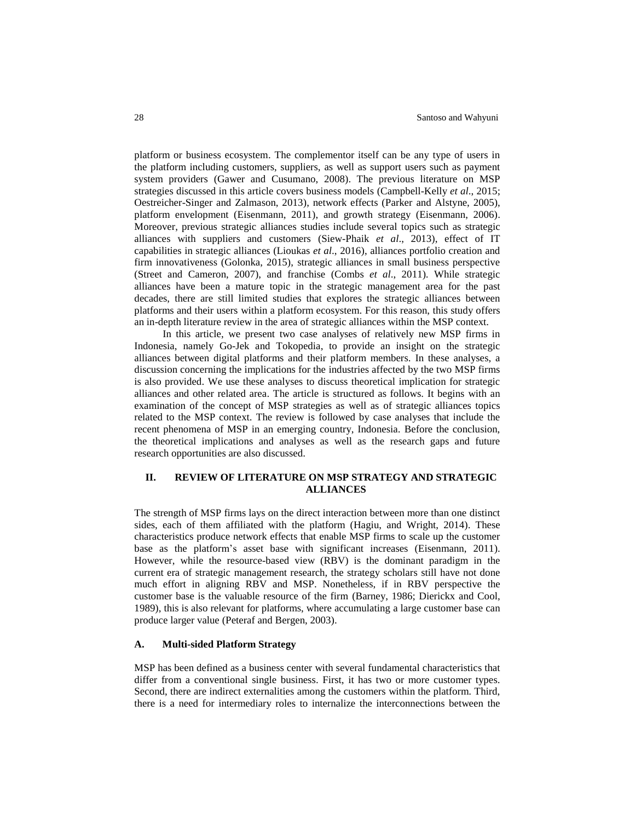platform or business ecosystem. The complementor itself can be any type of users in the platform including customers, suppliers, as well as support users such as payment system providers (Gawer and Cusumano, 2008). The previous literature on MSP strategies discussed in this article covers business models (Campbell-Kelly *et al*., 2015; Oestreicher-Singer and Zalmason, 2013), network effects (Parker and Alstyne, 2005), platform envelopment (Eisenmann, 2011), and growth strategy (Eisenmann, 2006). Moreover, previous strategic alliances studies include several topics such as strategic alliances with suppliers and customers (Siew-Phaik *et al*., 2013), effect of IT capabilities in strategic alliances (Lioukas *et al*., 2016), alliances portfolio creation and firm innovativeness (Golonka, 2015), strategic alliances in small business perspective (Street and Cameron, 2007), and franchise (Combs *et al*., 2011). While strategic alliances have been a mature topic in the strategic management area for the past decades, there are still limited studies that explores the strategic alliances between platforms and their users within a platform ecosystem. For this reason, this study offers an in-depth literature review in the area of strategic alliances within the MSP context.

In this article, we present two case analyses of relatively new MSP firms in Indonesia, namely Go-Jek and Tokopedia, to provide an insight on the strategic alliances between digital platforms and their platform members. In these analyses, a discussion concerning the implications for the industries affected by the two MSP firms is also provided. We use these analyses to discuss theoretical implication for strategic alliances and other related area. The article is structured as follows. It begins with an examination of the concept of MSP strategies as well as of strategic alliances topics related to the MSP context. The review is followed by case analyses that include the recent phenomena of MSP in an emerging country, Indonesia. Before the conclusion, the theoretical implications and analyses as well as the research gaps and future research opportunities are also discussed.

# **II. REVIEW OF LITERATURE ON MSP STRATEGY AND STRATEGIC ALLIANCES**

The strength of MSP firms lays on the direct interaction between more than one distinct sides, each of them affiliated with the platform (Hagiu, and Wright, 2014). These characteristics produce network effects that enable MSP firms to scale up the customer base as the platform's asset base with significant increases (Eisenmann, 2011). However, while the resource-based view (RBV) is the dominant paradigm in the current era of strategic management research, the strategy scholars still have not done much effort in aligning RBV and MSP. Nonetheless, if in RBV perspective the customer base is the valuable resource of the firm (Barney, 1986; Dierickx and Cool, 1989), this is also relevant for platforms, where accumulating a large customer base can produce larger value (Peteraf and Bergen, 2003).

# **A. Multi-sided Platform Strategy**

MSP has been defined as a business center with several fundamental characteristics that differ from a conventional single business. First, it has two or more customer types. Second, there are indirect externalities among the customers within the platform. Third, there is a need for intermediary roles to internalize the interconnections between the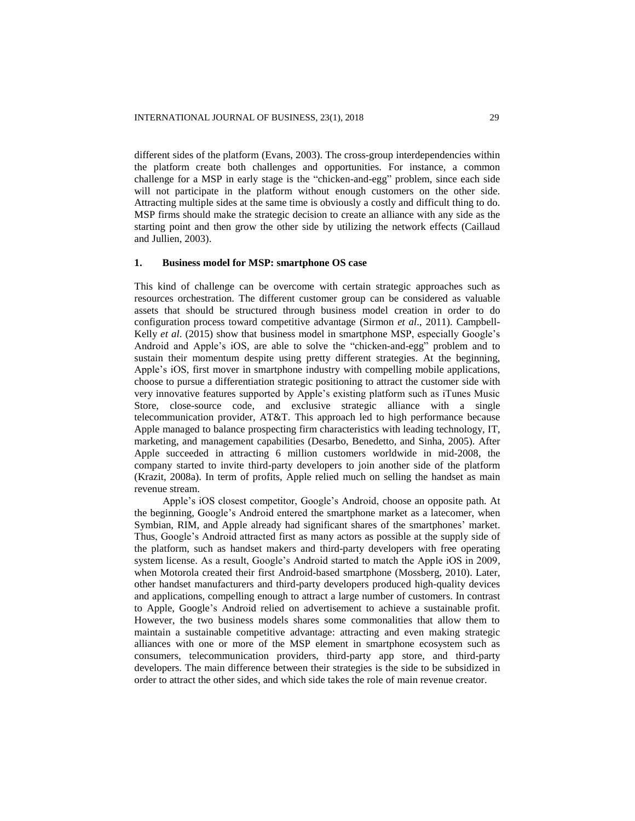different sides of the platform (Evans, 2003). The cross-group interdependencies within the platform create both challenges and opportunities. For instance, a common challenge for a MSP in early stage is the "chicken-and-egg" problem, since each side will not participate in the platform without enough customers on the other side. Attracting multiple sides at the same time is obviously a costly and difficult thing to do. MSP firms should make the strategic decision to create an alliance with any side as the starting point and then grow the other side by utilizing the network effects (Caillaud and Jullien, 2003).

## **1. Business model for MSP: smartphone OS case**

This kind of challenge can be overcome with certain strategic approaches such as resources orchestration. The different customer group can be considered as valuable assets that should be structured through business model creation in order to do configuration process toward competitive advantage (Sirmon *et al*., 2011). Campbell-Kelly *et al*. (2015) show that business model in smartphone MSP, especially Google's Android and Apple's iOS, are able to solve the "chicken-and-egg" problem and to sustain their momentum despite using pretty different strategies. At the beginning, Apple's iOS, first mover in smartphone industry with compelling mobile applications, choose to pursue a differentiation strategic positioning to attract the customer side with very innovative features supported by Apple's existing platform such as iTunes Music Store, close-source code, and exclusive strategic alliance with a single telecommunication provider, AT&T. This approach led to high performance because Apple managed to balance prospecting firm characteristics with leading technology, IT, marketing, and management capabilities (Desarbo, Benedetto, and Sinha, 2005). After Apple succeeded in attracting 6 million customers worldwide in mid-2008, the company started to invite third-party developers to join another side of the platform (Krazit, 2008a). In term of profits, Apple relied much on selling the handset as main revenue stream.

Apple's iOS closest competitor, Google's Android, choose an opposite path. At the beginning, Google's Android entered the smartphone market as a latecomer, when Symbian, RIM, and Apple already had significant shares of the smartphones' market. Thus, Google's Android attracted first as many actors as possible at the supply side of the platform, such as handset makers and third-party developers with free operating system license. As a result, Google's Android started to match the Apple iOS in 2009, when Motorola created their first Android-based smartphone (Mossberg, 2010). Later, other handset manufacturers and third-party developers produced high-quality devices and applications, compelling enough to attract a large number of customers. In contrast to Apple, Google's Android relied on advertisement to achieve a sustainable profit. However, the two business models shares some commonalities that allow them to maintain a sustainable competitive advantage: attracting and even making strategic alliances with one or more of the MSP element in smartphone ecosystem such as consumers, telecommunication providers, third-party app store, and third-party developers. The main difference between their strategies is the side to be subsidized in order to attract the other sides, and which side takes the role of main revenue creator.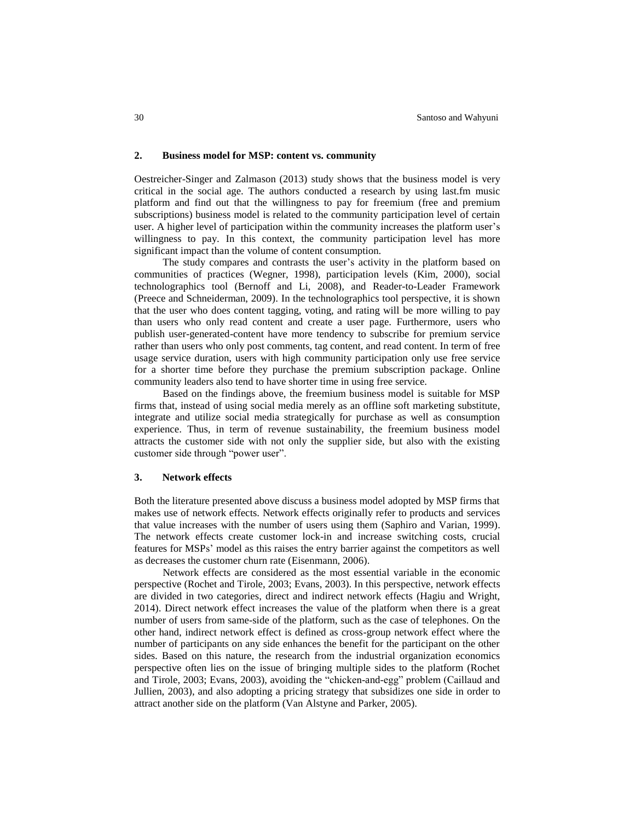#### **2. Business model for MSP: content vs. community**

Oestreicher-Singer and Zalmason (2013) study shows that the business model is very critical in the social age. The authors conducted a research by using last.fm music platform and find out that the willingness to pay for freemium (free and premium subscriptions) business model is related to the community participation level of certain user. A higher level of participation within the community increases the platform user's willingness to pay. In this context, the community participation level has more significant impact than the volume of content consumption.

The study compares and contrasts the user's activity in the platform based on communities of practices (Wegner, 1998), participation levels (Kim, 2000), social technolographics tool (Bernoff and Li, 2008), and Reader-to-Leader Framework (Preece and Schneiderman, 2009). In the technolographics tool perspective, it is shown that the user who does content tagging, voting, and rating will be more willing to pay than users who only read content and create a user page. Furthermore, users who publish user-generated-content have more tendency to subscribe for premium service rather than users who only post comments, tag content, and read content. In term of free usage service duration, users with high community participation only use free service for a shorter time before they purchase the premium subscription package. Online community leaders also tend to have shorter time in using free service.

Based on the findings above, the freemium business model is suitable for MSP firms that, instead of using social media merely as an offline soft marketing substitute, integrate and utilize social media strategically for purchase as well as consumption experience. Thus, in term of revenue sustainability, the freemium business model attracts the customer side with not only the supplier side, but also with the existing customer side through "power user".

#### **3. Network effects**

Both the literature presented above discuss a business model adopted by MSP firms that makes use of network effects. Network effects originally refer to products and services that value increases with the number of users using them (Saphiro and Varian, 1999). The network effects create customer lock-in and increase switching costs, crucial features for MSPs' model as this raises the entry barrier against the competitors as well as decreases the customer churn rate (Eisenmann, 2006).

Network effects are considered as the most essential variable in the economic perspective (Rochet and Tirole, 2003; Evans, 2003). In this perspective, network effects are divided in two categories, direct and indirect network effects (Hagiu and Wright, 2014). Direct network effect increases the value of the platform when there is a great number of users from same-side of the platform, such as the case of telephones. On the other hand, indirect network effect is defined as cross-group network effect where the number of participants on any side enhances the benefit for the participant on the other sides. Based on this nature, the research from the industrial organization economics perspective often lies on the issue of bringing multiple sides to the platform (Rochet and Tirole, 2003; Evans, 2003), avoiding the "chicken-and-egg" problem (Caillaud and Jullien, 2003), and also adopting a pricing strategy that subsidizes one side in order to attract another side on the platform (Van Alstyne and Parker, 2005).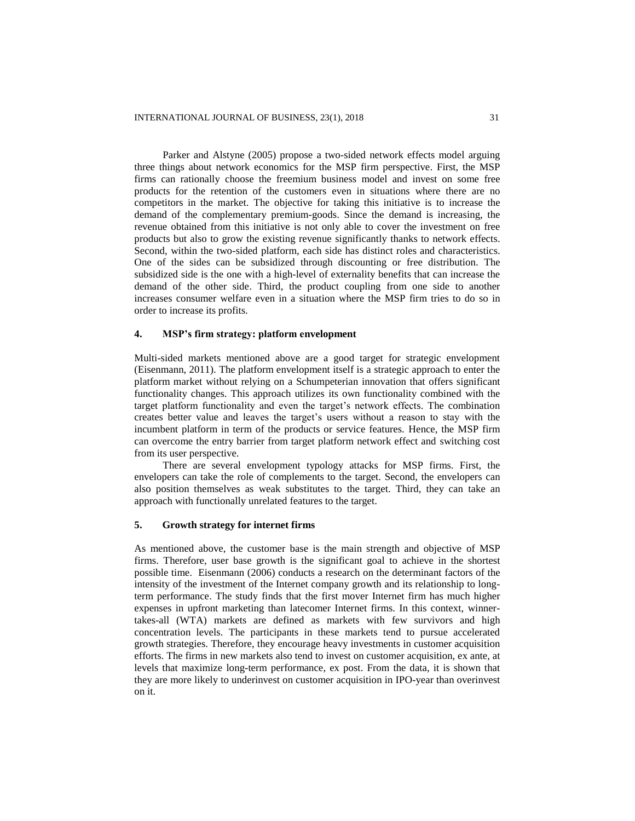Parker and Alstyne (2005) propose a two-sided network effects model arguing three things about network economics for the MSP firm perspective. First, the MSP firms can rationally choose the freemium business model and invest on some free products for the retention of the customers even in situations where there are no competitors in the market. The objective for taking this initiative is to increase the demand of the complementary premium-goods. Since the demand is increasing, the revenue obtained from this initiative is not only able to cover the investment on free products but also to grow the existing revenue significantly thanks to network effects. Second, within the two-sided platform, each side has distinct roles and characteristics. One of the sides can be subsidized through discounting or free distribution. The subsidized side is the one with a high-level of externality benefits that can increase the demand of the other side. Third, the product coupling from one side to another increases consumer welfare even in a situation where the MSP firm tries to do so in order to increase its profits.

## **4. MSP's firm strategy: platform envelopment**

Multi-sided markets mentioned above are a good target for strategic envelopment (Eisenmann, 2011). The platform envelopment itself is a strategic approach to enter the platform market without relying on a Schumpeterian innovation that offers significant functionality changes. This approach utilizes its own functionality combined with the target platform functionality and even the target's network effects. The combination creates better value and leaves the target's users without a reason to stay with the incumbent platform in term of the products or service features. Hence, the MSP firm can overcome the entry barrier from target platform network effect and switching cost from its user perspective.

There are several envelopment typology attacks for MSP firms. First, the envelopers can take the role of complements to the target. Second, the envelopers can also position themselves as weak substitutes to the target. Third, they can take an approach with functionally unrelated features to the target.

# **5. Growth strategy for internet firms**

As mentioned above, the customer base is the main strength and objective of MSP firms. Therefore, user base growth is the significant goal to achieve in the shortest possible time. Eisenmann (2006) conducts a research on the determinant factors of the intensity of the investment of the Internet company growth and its relationship to longterm performance. The study finds that the first mover Internet firm has much higher expenses in upfront marketing than latecomer Internet firms. In this context, winnertakes-all (WTA) markets are defined as markets with few survivors and high concentration levels. The participants in these markets tend to pursue accelerated growth strategies. Therefore, they encourage heavy investments in customer acquisition efforts. The firms in new markets also tend to invest on customer acquisition, ex ante, at levels that maximize long-term performance, ex post. From the data, it is shown that they are more likely to underinvest on customer acquisition in IPO-year than overinvest on it.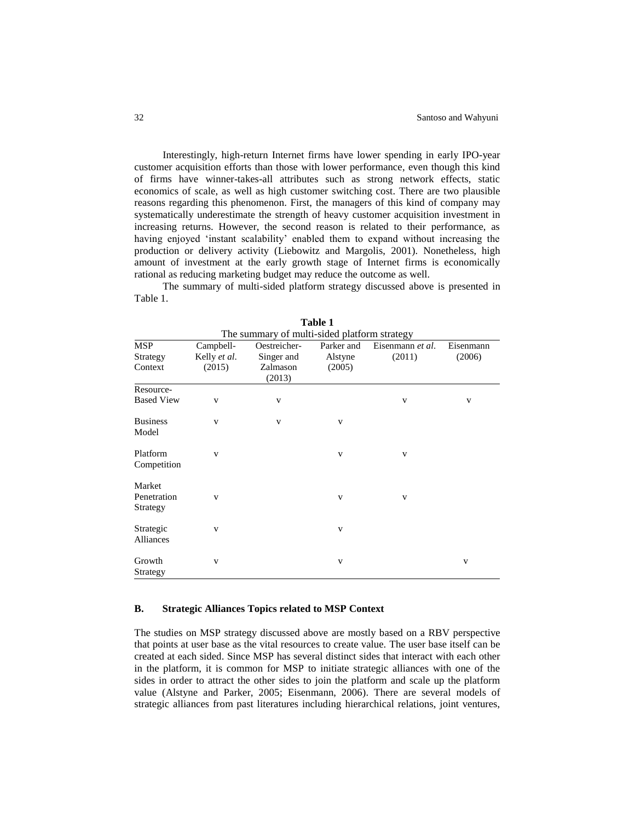Interestingly, high-return Internet firms have lower spending in early IPO-year customer acquisition efforts than those with lower performance, even though this kind of firms have winner-takes-all attributes such as strong network effects, static economics of scale, as well as high customer switching cost. There are two plausible reasons regarding this phenomenon. First, the managers of this kind of company may systematically underestimate the strength of heavy customer acquisition investment in increasing returns. However, the second reason is related to their performance, as having enjoyed 'instant scalability' enabled them to expand without increasing the production or delivery activity (Liebowitz and Margolis, 2001). Nonetheless, high amount of investment at the early growth stage of Internet firms is economically rational as reducing marketing budget may reduce the outcome as well.

The summary of multi-sided platform strategy discussed above is presented in Table 1.

| Oestreicher-<br>Parker and<br><b>MSP</b><br>Eisenmann et al.<br>Eisenmann<br>Campbell-<br>Kelly et al.<br>(2011)<br>(2006)<br>Singer and<br>Alstyne<br>Strategy<br>(2015)<br>(2005)<br>Context<br>Zalmason<br>(2013)<br>Resource-<br><b>Based View</b><br>V<br>V<br>V<br>$\mathbf{V}$<br><b>Business</b><br>$\mathbf{V}$<br>$\mathbf{V}$<br>$\mathbf V$<br>Model |  |
|------------------------------------------------------------------------------------------------------------------------------------------------------------------------------------------------------------------------------------------------------------------------------------------------------------------------------------------------------------------|--|
|                                                                                                                                                                                                                                                                                                                                                                  |  |
|                                                                                                                                                                                                                                                                                                                                                                  |  |
|                                                                                                                                                                                                                                                                                                                                                                  |  |
|                                                                                                                                                                                                                                                                                                                                                                  |  |
|                                                                                                                                                                                                                                                                                                                                                                  |  |
|                                                                                                                                                                                                                                                                                                                                                                  |  |
|                                                                                                                                                                                                                                                                                                                                                                  |  |
|                                                                                                                                                                                                                                                                                                                                                                  |  |
|                                                                                                                                                                                                                                                                                                                                                                  |  |
|                                                                                                                                                                                                                                                                                                                                                                  |  |
| Platform<br>$\mathbf{V}$<br>v<br>V                                                                                                                                                                                                                                                                                                                               |  |
| Competition                                                                                                                                                                                                                                                                                                                                                      |  |
|                                                                                                                                                                                                                                                                                                                                                                  |  |
| Market<br>Penetration                                                                                                                                                                                                                                                                                                                                            |  |
| V<br>V<br>V                                                                                                                                                                                                                                                                                                                                                      |  |
| Strategy                                                                                                                                                                                                                                                                                                                                                         |  |
| Strategic<br>V<br>V                                                                                                                                                                                                                                                                                                                                              |  |
| <b>Alliances</b>                                                                                                                                                                                                                                                                                                                                                 |  |
|                                                                                                                                                                                                                                                                                                                                                                  |  |
| Growth<br>V<br>$\mathbf{V}$<br>V                                                                                                                                                                                                                                                                                                                                 |  |
| Strategy                                                                                                                                                                                                                                                                                                                                                         |  |

**Table 1**

# **B. Strategic Alliances Topics related to MSP Context**

The studies on MSP strategy discussed above are mostly based on a RBV perspective that points at user base as the vital resources to create value. The user base itself can be created at each sided. Since MSP has several distinct sides that interact with each other in the platform, it is common for MSP to initiate strategic alliances with one of the sides in order to attract the other sides to join the platform and scale up the platform value (Alstyne and Parker, 2005; Eisenmann, 2006). There are several models of strategic alliances from past literatures including hierarchical relations, joint ventures,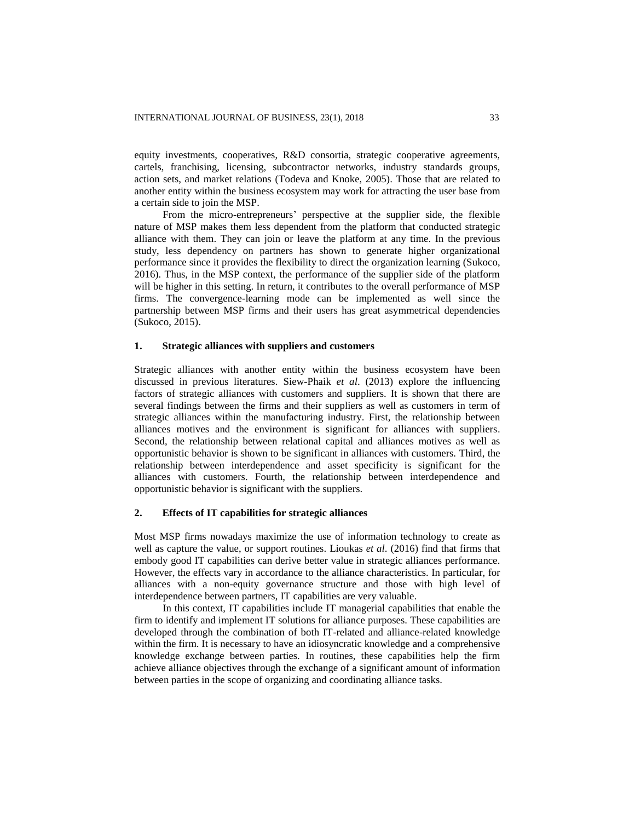equity investments, cooperatives, R&D consortia, strategic cooperative agreements, cartels, franchising, licensing, subcontractor networks, industry standards groups, action sets, and market relations (Todeva and Knoke, 2005). Those that are related to another entity within the business ecosystem may work for attracting the user base from a certain side to join the MSP.

From the micro-entrepreneurs' perspective at the supplier side, the flexible nature of MSP makes them less dependent from the platform that conducted strategic alliance with them. They can join or leave the platform at any time. In the previous study, less dependency on partners has shown to generate higher organizational performance since it provides the flexibility to direct the organization learning (Sukoco, 2016). Thus, in the MSP context, the performance of the supplier side of the platform will be higher in this setting. In return, it contributes to the overall performance of MSP firms. The convergence-learning mode can be implemented as well since the partnership between MSP firms and their users has great asymmetrical dependencies (Sukoco, 2015).

## **1. Strategic alliances with suppliers and customers**

Strategic alliances with another entity within the business ecosystem have been discussed in previous literatures. Siew-Phaik *et al*. (2013) explore the influencing factors of strategic alliances with customers and suppliers. It is shown that there are several findings between the firms and their suppliers as well as customers in term of strategic alliances within the manufacturing industry. First, the relationship between alliances motives and the environment is significant for alliances with suppliers. Second, the relationship between relational capital and alliances motives as well as opportunistic behavior is shown to be significant in alliances with customers. Third, the relationship between interdependence and asset specificity is significant for the alliances with customers. Fourth, the relationship between interdependence and opportunistic behavior is significant with the suppliers.

# **2. Effects of IT capabilities for strategic alliances**

Most MSP firms nowadays maximize the use of information technology to create as well as capture the value, or support routines. Lioukas *et al*. (2016) find that firms that embody good IT capabilities can derive better value in strategic alliances performance. However, the effects vary in accordance to the alliance characteristics. In particular, for alliances with a non-equity governance structure and those with high level of interdependence between partners, IT capabilities are very valuable.

In this context, IT capabilities include IT managerial capabilities that enable the firm to identify and implement IT solutions for alliance purposes. These capabilities are developed through the combination of both IT-related and alliance-related knowledge within the firm. It is necessary to have an idiosyncratic knowledge and a comprehensive knowledge exchange between parties. In routines, these capabilities help the firm achieve alliance objectives through the exchange of a significant amount of information between parties in the scope of organizing and coordinating alliance tasks.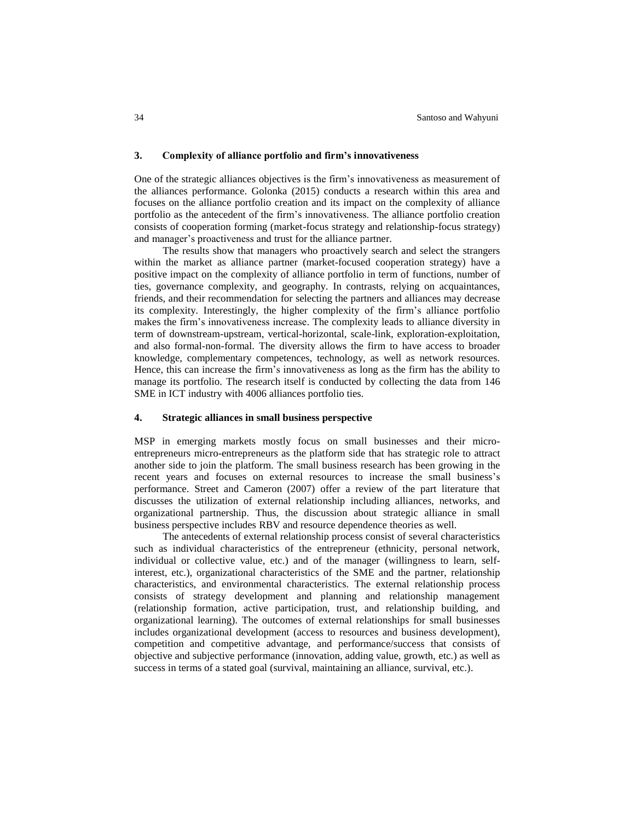#### **3. Complexity of alliance portfolio and firm's innovativeness**

One of the strategic alliances objectives is the firm's innovativeness as measurement of the alliances performance. Golonka (2015) conducts a research within this area and focuses on the alliance portfolio creation and its impact on the complexity of alliance portfolio as the antecedent of the firm's innovativeness. The alliance portfolio creation consists of cooperation forming (market-focus strategy and relationship-focus strategy) and manager's proactiveness and trust for the alliance partner.

The results show that managers who proactively search and select the strangers within the market as alliance partner (market-focused cooperation strategy) have a positive impact on the complexity of alliance portfolio in term of functions, number of ties, governance complexity, and geography. In contrasts, relying on acquaintances, friends, and their recommendation for selecting the partners and alliances may decrease its complexity. Interestingly, the higher complexity of the firm's alliance portfolio makes the firm's innovativeness increase. The complexity leads to alliance diversity in term of downstream-upstream, vertical-horizontal, scale-link, exploration-exploitation, and also formal-non-formal. The diversity allows the firm to have access to broader knowledge, complementary competences, technology, as well as network resources. Hence, this can increase the firm's innovativeness as long as the firm has the ability to manage its portfolio. The research itself is conducted by collecting the data from 146 SME in ICT industry with 4006 alliances portfolio ties.

## **4. Strategic alliances in small business perspective**

MSP in emerging markets mostly focus on small businesses and their microentrepreneurs micro-entrepreneurs as the platform side that has strategic role to attract another side to join the platform. The small business research has been growing in the recent years and focuses on external resources to increase the small business's performance. Street and Cameron (2007) offer a review of the part literature that discusses the utilization of external relationship including alliances, networks, and organizational partnership. Thus, the discussion about strategic alliance in small business perspective includes RBV and resource dependence theories as well.

The antecedents of external relationship process consist of several characteristics such as individual characteristics of the entrepreneur (ethnicity, personal network, individual or collective value, etc.) and of the manager (willingness to learn, selfinterest, etc.), organizational characteristics of the SME and the partner, relationship characteristics, and environmental characteristics. The external relationship process consists of strategy development and planning and relationship management (relationship formation, active participation, trust, and relationship building, and organizational learning). The outcomes of external relationships for small businesses includes organizational development (access to resources and business development), competition and competitive advantage, and performance/success that consists of objective and subjective performance (innovation, adding value, growth, etc.) as well as success in terms of a stated goal (survival, maintaining an alliance, survival, etc.).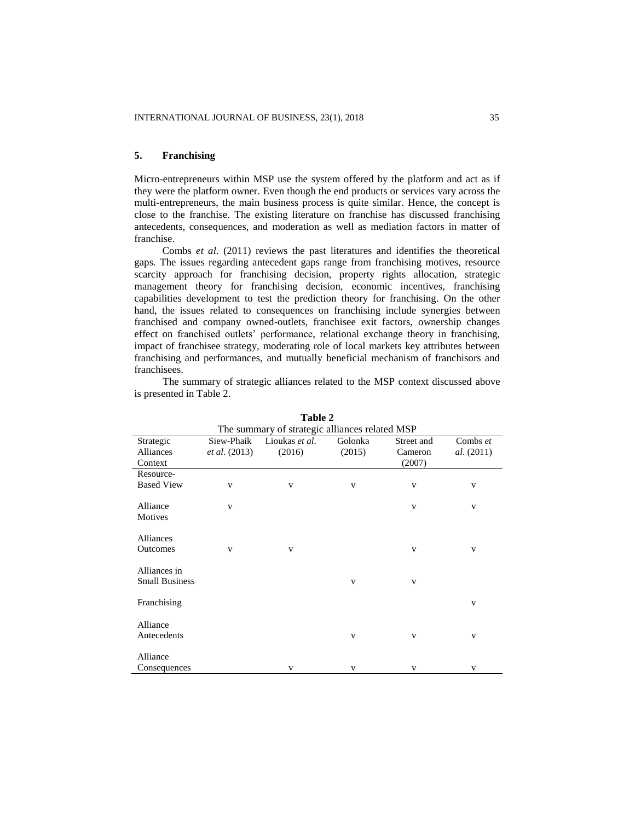# **5. Franchising**

Micro-entrepreneurs within MSP use the system offered by the platform and act as if they were the platform owner. Even though the end products or services vary across the multi-entrepreneurs, the main business process is quite similar. Hence, the concept is close to the franchise. The existing literature on franchise has discussed franchising antecedents, consequences, and moderation as well as mediation factors in matter of franchise.

Combs *et al*. (2011) reviews the past literatures and identifies the theoretical gaps. The issues regarding antecedent gaps range from franchising motives, resource scarcity approach for franchising decision, property rights allocation, strategic management theory for franchising decision, economic incentives, franchising capabilities development to test the prediction theory for franchising. On the other hand, the issues related to consequences on franchising include synergies between franchised and company owned-outlets, franchisee exit factors, ownership changes effect on franchised outlets' performance, relational exchange theory in franchising, impact of franchisee strategy, moderating role of local markets key attributes between franchising and performances, and mutually beneficial mechanism of franchisors and franchisees.

|                                       |                      | rabie 4                                        |              |            |                   |
|---------------------------------------|----------------------|------------------------------------------------|--------------|------------|-------------------|
|                                       |                      | The summary of strategic alliances related MSP |              |            |                   |
| Strategic                             | Siew-Phaik           | Lioukas et al.                                 | Golonka      | Street and | Combs et          |
| <b>Alliances</b>                      | <i>et al.</i> (2013) | (2016)                                         | (2015)       | Cameron    | <i>al.</i> (2011) |
| Context                               |                      |                                                |              | (2007)     |                   |
| Resource-                             |                      |                                                |              |            |                   |
| <b>Based View</b>                     | $\mathbf{V}$         | V                                              | v            | V          | v                 |
| Alliance                              | V                    |                                                |              | V          | V                 |
| Motives                               |                      |                                                |              |            |                   |
|                                       |                      |                                                |              |            |                   |
| Alliances                             |                      |                                                |              |            |                   |
| <b>Outcomes</b>                       | V                    | V                                              |              | V          | V                 |
|                                       |                      |                                                |              |            |                   |
| Alliances in<br><b>Small Business</b> |                      |                                                | V            | V          |                   |
|                                       |                      |                                                |              |            |                   |
| Franchising                           |                      |                                                |              |            | V                 |
|                                       |                      |                                                |              |            |                   |
| Alliance                              |                      |                                                |              |            |                   |
| Antecedents                           |                      |                                                | $\mathbf{V}$ | V          | v                 |
| Alliance                              |                      |                                                |              |            |                   |
| Consequences                          |                      | V                                              | v            | V          | v                 |
|                                       |                      |                                                |              |            |                   |

The summary of strategic alliances related to the MSP context discussed above is presented in Table 2.

 $T<sub>1</sub>$   $\lambda$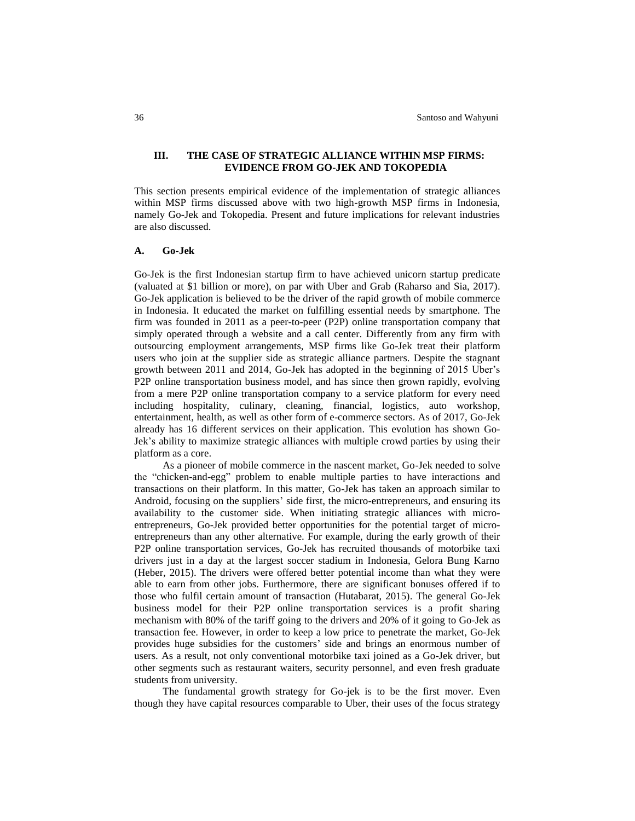# **III. THE CASE OF STRATEGIC ALLIANCE WITHIN MSP FIRMS: EVIDENCE FROM GO-JEK AND TOKOPEDIA**

This section presents empirical evidence of the implementation of strategic alliances within MSP firms discussed above with two high-growth MSP firms in Indonesia, namely Go-Jek and Tokopedia. Present and future implications for relevant industries are also discussed.

## **A. Go-Jek**

Go-Jek is the first Indonesian startup firm to have achieved unicorn startup predicate (valuated at \$1 billion or more), on par with Uber and Grab (Raharso and Sia, 2017). Go-Jek application is believed to be the driver of the rapid growth of mobile commerce in Indonesia. It educated the market on fulfilling essential needs by smartphone. The firm was founded in 2011 as a peer-to-peer (P2P) online transportation company that simply operated through a website and a call center. Differently from any firm with outsourcing employment arrangements, MSP firms like Go-Jek treat their platform users who join at the supplier side as strategic alliance partners. Despite the stagnant growth between 2011 and 2014, Go-Jek has adopted in the beginning of 2015 Uber's P2P online transportation business model, and has since then grown rapidly, evolving from a mere P2P online transportation company to a service platform for every need including hospitality, culinary, cleaning, financial, logistics, auto workshop, entertainment, health, as well as other form of e-commerce sectors. As of 2017, Go-Jek already has 16 different services on their application. This evolution has shown Go-Jek's ability to maximize strategic alliances with multiple crowd parties by using their platform as a core.

As a pioneer of mobile commerce in the nascent market, Go-Jek needed to solve the "chicken-and-egg" problem to enable multiple parties to have interactions and transactions on their platform. In this matter, Go-Jek has taken an approach similar to Android, focusing on the suppliers' side first, the micro-entrepreneurs, and ensuring its availability to the customer side. When initiating strategic alliances with microentrepreneurs, Go-Jek provided better opportunities for the potential target of microentrepreneurs than any other alternative. For example, during the early growth of their P2P online transportation services, Go-Jek has recruited thousands of motorbike taxi drivers just in a day at the largest soccer stadium in Indonesia, Gelora Bung Karno (Heber, 2015). The drivers were offered better potential income than what they were able to earn from other jobs. Furthermore, there are significant bonuses offered if to those who fulfil certain amount of transaction (Hutabarat, 2015). The general Go-Jek business model for their P2P online transportation services is a profit sharing mechanism with 80% of the tariff going to the drivers and 20% of it going to Go-Jek as transaction fee. However, in order to keep a low price to penetrate the market, Go-Jek provides huge subsidies for the customers' side and brings an enormous number of users. As a result, not only conventional motorbike taxi joined as a Go-Jek driver, but other segments such as restaurant waiters, security personnel, and even fresh graduate students from university.

The fundamental growth strategy for Go-jek is to be the first mover. Even though they have capital resources comparable to Uber, their uses of the focus strategy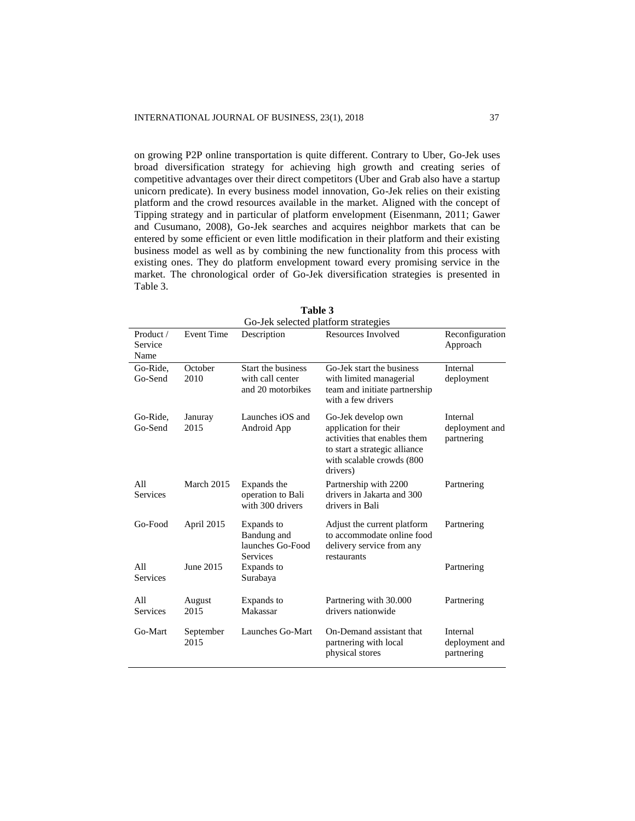on growing P2P online transportation is quite different. Contrary to Uber, Go-Jek uses broad diversification strategy for achieving high growth and creating series of competitive advantages over their direct competitors (Uber and Grab also have a startup unicorn predicate). In every business model innovation, Go-Jek relies on their existing platform and the crowd resources available in the market. Aligned with the concept of Tipping strategy and in particular of platform envelopment (Eisenmann, 2011; Gawer and Cusumano, 2008), Go-Jek searches and acquires neighbor markets that can be entered by some efficient or even little modification in their platform and their existing business model as well as by combining the new functionality from this process with existing ones. They do platform envelopment toward every promising service in the market. The chronological order of Go-Jek diversification strategies is presented in Table 3.

|                              |                   | Go-Jek selected platform strategies                         |                                                                                                                                                       |                                          |
|------------------------------|-------------------|-------------------------------------------------------------|-------------------------------------------------------------------------------------------------------------------------------------------------------|------------------------------------------|
| Product /<br>Service<br>Name | <b>Event Time</b> | Description                                                 | Resources Involved                                                                                                                                    | Reconfiguration<br>Approach              |
| Go-Ride,<br>Go-Send          | October<br>2010   | Start the business<br>with call center<br>and 20 motorbikes | Go-Jek start the business<br>with limited managerial<br>team and initiate partnership<br>with a few drivers                                           | Internal<br>deployment                   |
| Go-Ride,<br>Go-Send          | Januray<br>2015   | Launches iOS and<br>Android App                             | Go-Jek develop own<br>application for their<br>activities that enables them<br>to start a strategic alliance<br>with scalable crowds (800<br>drivers) | Internal<br>deployment and<br>partnering |
| All<br><b>Services</b>       | March 2015        | Expands the<br>operation to Bali<br>with 300 drivers        | Partnership with 2200<br>drivers in Jakarta and 300<br>drivers in Bali                                                                                | Partnering                               |
| Go-Food                      | April 2015        | Expands to<br>Bandung and<br>launches Go-Food               | Adjust the current platform<br>to accommodate online food<br>delivery service from any                                                                | Partnering                               |
| All<br><b>Services</b>       | June 2015         | <b>Services</b><br>Expands to<br>Surabaya                   | restaurants                                                                                                                                           | Partnering                               |
| A11<br><b>Services</b>       | August<br>2015    | Expands to<br>Makassar                                      | Partnering with 30.000<br>drivers nationwide                                                                                                          | Partnering                               |
| Go-Mart                      | September<br>2015 | Launches Go-Mart                                            | On-Demand assistant that<br>partnering with local<br>physical stores                                                                                  | Internal<br>deployment and<br>partnering |

**Table 3**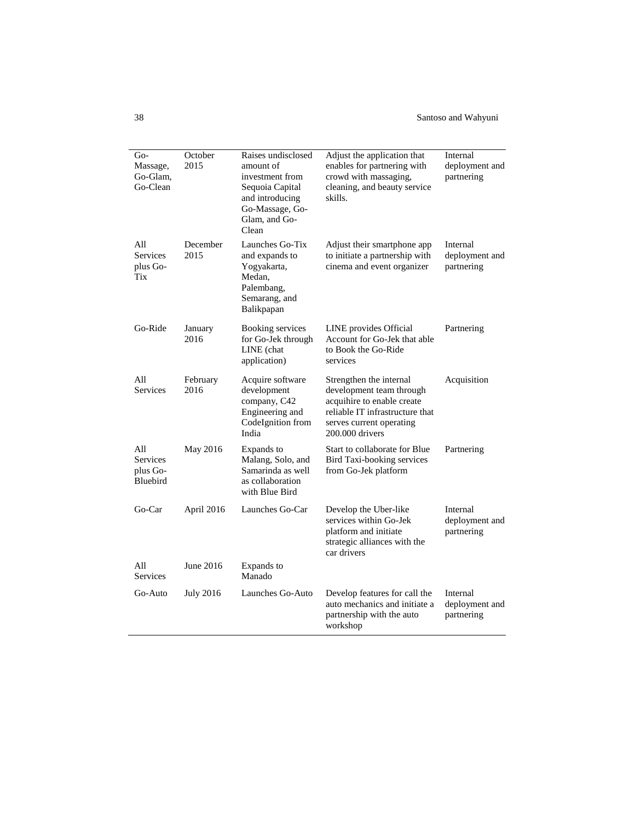| Go-<br>Massage,<br>Go-Glam,<br>Go-Clean | October<br>2015  | Raises undisclosed<br>amount of<br>investment from<br>Sequoia Capital<br>and introducing<br>Go-Massage, Go-<br>Glam, and Go-<br>Clean | Adjust the application that<br>enables for partnering with<br>crowd with massaging,<br>cleaning, and beauty service<br>skills.                                      | Internal<br>deployment and<br>partnering |
|-----------------------------------------|------------------|---------------------------------------------------------------------------------------------------------------------------------------|---------------------------------------------------------------------------------------------------------------------------------------------------------------------|------------------------------------------|
| All<br>Services<br>plus Go-<br>Tix      | December<br>2015 | Launches Go-Tix<br>and expands to<br>Yogyakarta,<br>Medan,<br>Palembang,<br>Semarang, and<br>Balikpapan                               | Adjust their smartphone app<br>to initiate a partnership with<br>cinema and event organizer                                                                         | Internal<br>deployment and<br>partnering |
| Go-Ride                                 | January<br>2016  | <b>Booking services</b><br>for Go-Jek through<br>LINE (chat<br>application)                                                           | LINE provides Official<br>Account for Go-Jek that able<br>to Book the Go-Ride<br>services                                                                           | Partnering                               |
| All<br><b>Services</b>                  | February<br>2016 | Acquire software<br>development<br>company, C42<br>Engineering and<br>CodeIgnition from<br>India                                      | Strengthen the internal<br>development team through<br>acquihire to enable create<br>reliable IT infrastructure that<br>serves current operating<br>200.000 drivers | Acquisition                              |
| All<br>Services<br>plus Go-<br>Bluebird | May 2016         | Expands to<br>Malang, Solo, and<br>Samarinda as well<br>as collaboration<br>with Blue Bird                                            | Start to collaborate for Blue<br>Bird Taxi-booking services<br>from Go-Jek platform                                                                                 | Partnering                               |
| Go-Car                                  | April 2016       | Launches Go-Car                                                                                                                       | Develop the Uber-like<br>services within Go-Jek<br>platform and initiate<br>strategic alliances with the<br>car drivers                                             | Internal<br>deployment and<br>partnering |
| A11<br>Services                         | June 2016        | Expands to<br>Manado                                                                                                                  |                                                                                                                                                                     |                                          |
| Go-Auto                                 | <b>July 2016</b> | Launches Go-Auto                                                                                                                      | Develop features for call the<br>auto mechanics and initiate a<br>partnership with the auto<br>workshop                                                             | Internal<br>deployment and<br>partnering |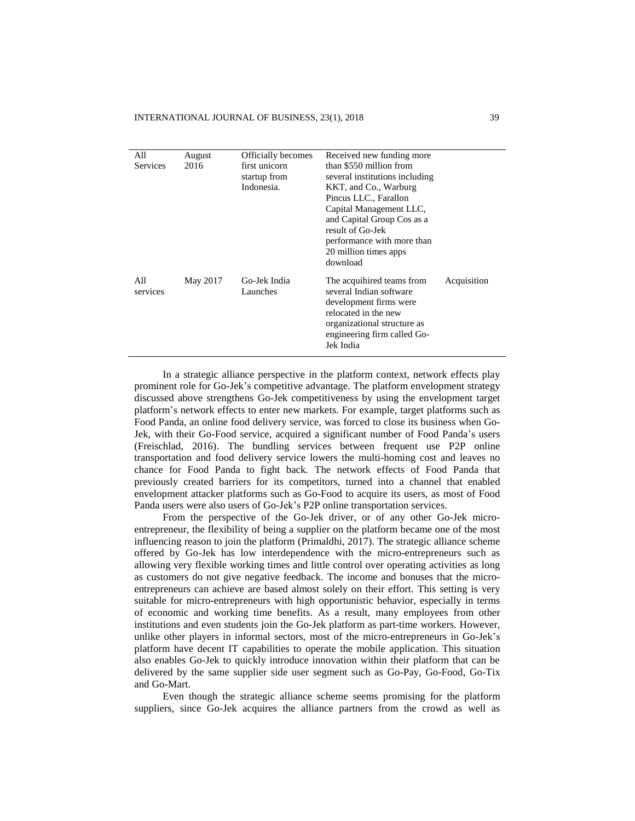| All<br>Services | August<br>2016 | <b>Officially becomes</b><br>first unicorn<br>startup from<br>Indonesia. | Received new funding more<br>than \$550 million from<br>several institutions including<br>KKT, and Co., Warburg<br>Pincus LLC., Farallon<br>Capital Management LLC,<br>and Capital Group Cos as a<br>result of Go-Jek<br>performance with more than<br>20 million times apps<br>download |             |
|-----------------|----------------|--------------------------------------------------------------------------|------------------------------------------------------------------------------------------------------------------------------------------------------------------------------------------------------------------------------------------------------------------------------------------|-------------|
| All<br>services | May 2017       | Go-Jek India<br>Launches                                                 | The acquihired teams from<br>several Indian software<br>development firms were<br>relocated in the new<br>organizational structure as<br>engineering firm called Go-<br>Jek India                                                                                                        | Acquisition |

In a strategic alliance perspective in the platform context, network effects play prominent role for Go-Jek's competitive advantage. The platform envelopment strategy discussed above strengthens Go-Jek competitiveness by using the envelopment target platform's network effects to enter new markets. For example, target platforms such as Food Panda, an online food delivery service, was forced to close its business when Go-Jek, with their Go-Food service, acquired a significant number of Food Panda's users (Freischlad, 2016). The bundling services between frequent use P2P online transportation and food delivery service lowers the multi-homing cost and leaves no chance for Food Panda to fight back. The network effects of Food Panda that previously created barriers for its competitors, turned into a channel that enabled envelopment attacker platforms such as Go-Food to acquire its users, as most of Food Panda users were also users of Go-Jek's P2P online transportation services.

From the perspective of the Go-Jek driver, or of any other Go-Jek microentrepreneur, the flexibility of being a supplier on the platform became one of the most influencing reason to join the platform (Primaldhi, 2017). The strategic alliance scheme offered by Go-Jek has low interdependence with the micro-entrepreneurs such as allowing very flexible working times and little control over operating activities as long as customers do not give negative feedback. The income and bonuses that the microentrepreneurs can achieve are based almost solely on their effort. This setting is very suitable for micro-entrepreneurs with high opportunistic behavior, especially in terms of economic and working time benefits. As a result, many employees from other institutions and even students join the Go-Jek platform as part-time workers. However, unlike other players in informal sectors, most of the micro-entrepreneurs in Go-Jek's platform have decent IT capabilities to operate the mobile application. This situation also enables Go-Jek to quickly introduce innovation within their platform that can be delivered by the same supplier side user segment such as Go-Pay, Go-Food, Go-Tix and Go-Mart.

Even though the strategic alliance scheme seems promising for the platform suppliers, since Go-Jek acquires the alliance partners from the crowd as well as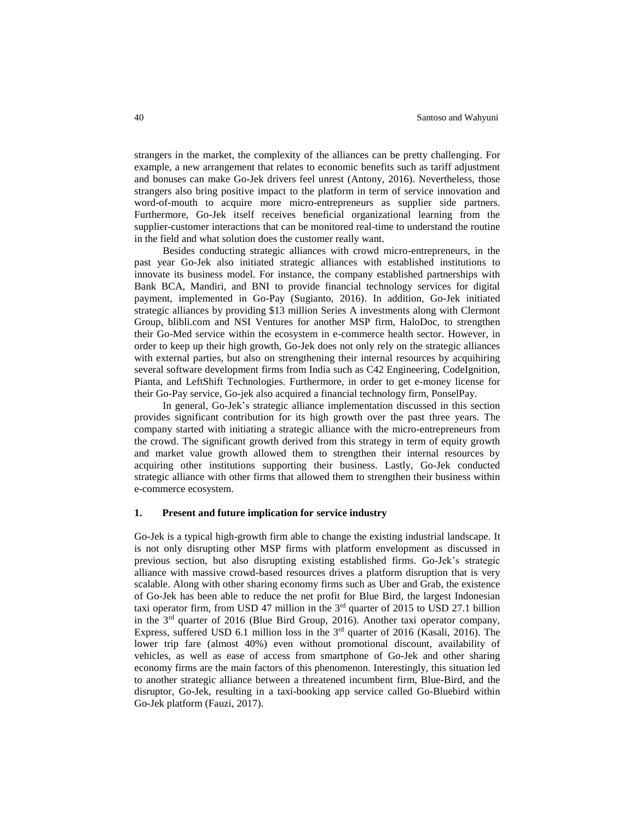strangers in the market, the complexity of the alliances can be pretty challenging. For example, a new arrangement that relates to economic benefits such as tariff adjustment and bonuses can make Go-Jek drivers feel unrest (Antony, 2016). Nevertheless, those strangers also bring positive impact to the platform in term of service innovation and word-of-mouth to acquire more micro-entrepreneurs as supplier side partners. Furthermore, Go-Jek itself receives beneficial organizational learning from the supplier-customer interactions that can be monitored real-time to understand the routine in the field and what solution does the customer really want.

Besides conducting strategic alliances with crowd micro-entrepreneurs, in the past year Go-Jek also initiated strategic alliances with established institutions to innovate its business model. For instance, the company established partnerships with Bank BCA, Mandiri, and BNI to provide financial technology services for digital payment, implemented in Go-Pay (Sugianto, 2016). In addition, Go-Jek initiated strategic alliances by providing \$13 million Series A investments along with Clermont Group, blibli.com and NSI Ventures for another MSP firm, HaloDoc, to strengthen their Go-Med service within the ecosystem in e-commerce health sector. However, in order to keep up their high growth, Go-Jek does not only rely on the strategic alliances with external parties, but also on strengthening their internal resources by acquihiring several software development firms from India such as C42 Engineering, CodeIgnition, Pianta, and LeftShift Technologies. Furthermore, in order to get e-money license for their Go-Pay service, Go-jek also acquired a financial technology firm, PonselPay.

In general, Go-Jek's strategic alliance implementation discussed in this section provides significant contribution for its high growth over the past three years. The company started with initiating a strategic alliance with the micro-entrepreneurs from the crowd. The significant growth derived from this strategy in term of equity growth and market value growth allowed them to strengthen their internal resources by acquiring other institutions supporting their business. Lastly, Go-Jek conducted strategic alliance with other firms that allowed them to strengthen their business within e-commerce ecosystem.

## **1. Present and future implication for service industry**

Go-Jek is a typical high-growth firm able to change the existing industrial landscape. It is not only disrupting other MSP firms with platform envelopment as discussed in previous section, but also disrupting existing established firms. Go-Jek's strategic alliance with massive crowd-based resources drives a platform disruption that is very scalable. Along with other sharing economy firms such as Uber and Grab, the existence of Go-Jek has been able to reduce the net profit for Blue Bird, the largest Indonesian taxi operator firm, from USD 47 million in the  $3<sup>rd</sup>$  quarter of 2015 to USD 27.1 billion in the 3<sup>rd</sup> quarter of 2016 (Blue Bird Group, 2016). Another taxi operator company, Express, suffered USD 6.1 million loss in the  $3<sup>rd</sup>$  quarter of 2016 (Kasali, 2016). The lower trip fare (almost 40%) even without promotional discount, availability of vehicles, as well as ease of access from smartphone of Go-Jek and other sharing economy firms are the main factors of this phenomenon. Interestingly, this situation led to another strategic alliance between a threatened incumbent firm, Blue-Bird, and the disruptor, Go-Jek, resulting in a taxi-booking app service called Go-Bluebird within Go-Jek platform (Fauzi, 2017).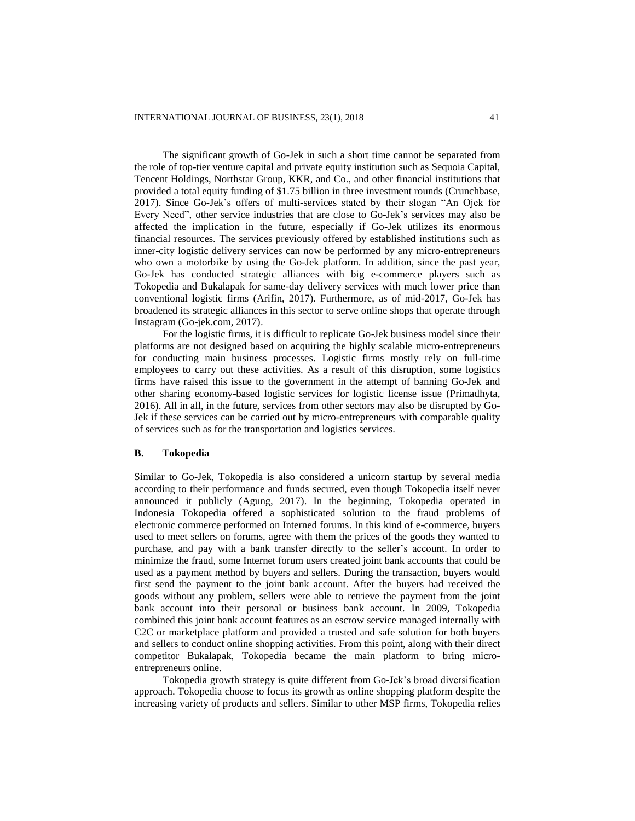The significant growth of Go-Jek in such a short time cannot be separated from the role of top-tier venture capital and private equity institution such as Sequoia Capital, Tencent Holdings, Northstar Group, KKR, and Co., and other financial institutions that provided a total equity funding of \$1.75 billion in three investment rounds (Crunchbase, 2017). Since Go-Jek's offers of multi-services stated by their slogan "An Ojek for Every Need", other service industries that are close to Go-Jek's services may also be affected the implication in the future, especially if Go-Jek utilizes its enormous financial resources. The services previously offered by established institutions such as inner-city logistic delivery services can now be performed by any micro-entrepreneurs who own a motorbike by using the Go-Jek platform. In addition, since the past year, Go-Jek has conducted strategic alliances with big e-commerce players such as Tokopedia and Bukalapak for same-day delivery services with much lower price than conventional logistic firms (Arifin, 2017). Furthermore, as of mid-2017, Go-Jek has broadened its strategic alliances in this sector to serve online shops that operate through Instagram (Go-jek.com, 2017).

For the logistic firms, it is difficult to replicate Go-Jek business model since their platforms are not designed based on acquiring the highly scalable micro-entrepreneurs for conducting main business processes. Logistic firms mostly rely on full-time employees to carry out these activities. As a result of this disruption, some logistics firms have raised this issue to the government in the attempt of banning Go-Jek and other sharing economy-based logistic services for logistic license issue (Primadhyta, 2016). All in all, in the future, services from other sectors may also be disrupted by Go-Jek if these services can be carried out by micro-entrepreneurs with comparable quality of services such as for the transportation and logistics services.

## **B. Tokopedia**

Similar to Go-Jek, Tokopedia is also considered a unicorn startup by several media according to their performance and funds secured, even though Tokopedia itself never announced it publicly (Agung, 2017). In the beginning, Tokopedia operated in Indonesia Tokopedia offered a sophisticated solution to the fraud problems of electronic commerce performed on Interned forums. In this kind of e-commerce, buyers used to meet sellers on forums, agree with them the prices of the goods they wanted to purchase, and pay with a bank transfer directly to the seller's account. In order to minimize the fraud, some Internet forum users created joint bank accounts that could be used as a payment method by buyers and sellers. During the transaction, buyers would first send the payment to the joint bank account. After the buyers had received the goods without any problem, sellers were able to retrieve the payment from the joint bank account into their personal or business bank account. In 2009, Tokopedia combined this joint bank account features as an escrow service managed internally with C2C or marketplace platform and provided a trusted and safe solution for both buyers and sellers to conduct online shopping activities. From this point, along with their direct competitor Bukalapak, Tokopedia became the main platform to bring microentrepreneurs online.

Tokopedia growth strategy is quite different from Go-Jek's broad diversification approach. Tokopedia choose to focus its growth as online shopping platform despite the increasing variety of products and sellers. Similar to other MSP firms, Tokopedia relies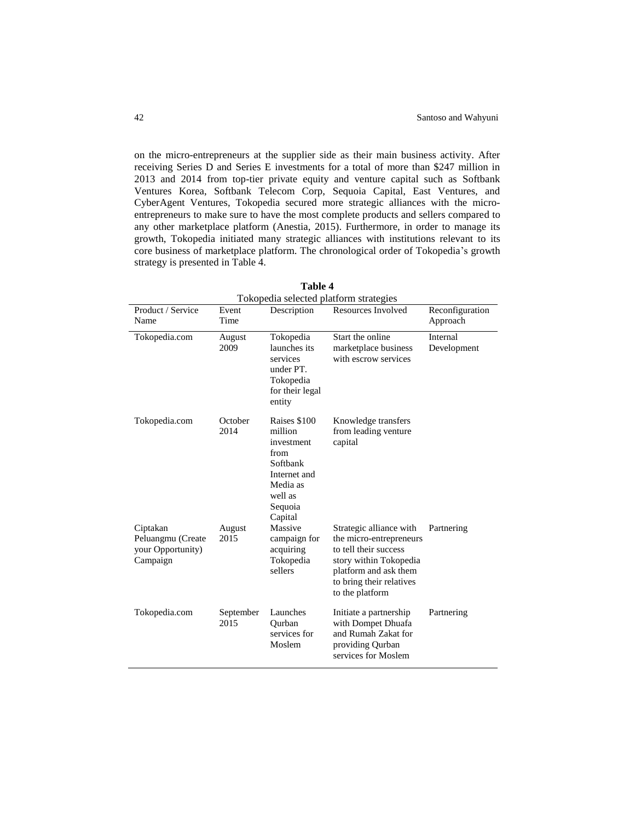on the micro-entrepreneurs at the supplier side as their main business activity. After receiving Series D and Series E investments for a total of more than \$247 million in 2013 and 2014 from top-tier private equity and venture capital such as Softbank Ventures Korea, Softbank Telecom Corp, Sequoia Capital, East Ventures, and CyberAgent Ventures, Tokopedia secured more strategic alliances with the microentrepreneurs to make sure to have the most complete products and sellers compared to any other marketplace platform (Anestia, 2015). Furthermore, in order to manage its growth, Tokopedia initiated many strategic alliances with institutions relevant to its core business of marketplace platform. The chronological order of Tokopedia's growth strategy is presented in Table 4.

|                                                                |                   |                                                                                                                        | Tokopedia selected platform strategies                                                                                                                                        |                             |
|----------------------------------------------------------------|-------------------|------------------------------------------------------------------------------------------------------------------------|-------------------------------------------------------------------------------------------------------------------------------------------------------------------------------|-----------------------------|
| Product / Service<br>Name                                      | Event<br>Time     | Description                                                                                                            | Resources Involved                                                                                                                                                            | Reconfiguration<br>Approach |
| Tokopedia.com                                                  | August<br>2009    | Tokopedia<br>launches its<br>services<br>under PT.<br>Tokopedia<br>for their legal<br>entity                           | Start the online<br>marketplace business<br>with escrow services                                                                                                              | Internal<br>Development     |
| Tokopedia.com                                                  | October<br>2014   | Raises \$100<br>million<br>investment<br>from<br>Softbank<br>Internet and<br>Media as<br>well as<br>Sequoia<br>Capital | Knowledge transfers<br>from leading venture<br>capital                                                                                                                        |                             |
| Ciptakan<br>Peluangmu (Create<br>your Opportunity)<br>Campaign | August<br>2015    | Massive<br>campaign for<br>acquiring<br>Tokopedia<br>sellers                                                           | Strategic alliance with<br>the micro-entrepreneurs<br>to tell their success<br>story within Tokopedia<br>platform and ask them<br>to bring their relatives<br>to the platform | Partnering                  |
| Tokopedia.com                                                  | September<br>2015 | Launches<br>Qurban<br>services for<br>Moslem                                                                           | Initiate a partnership<br>with Dompet Dhuafa<br>and Rumah Zakat for<br>providing Qurban<br>services for Moslem                                                                | Partnering                  |

**Table 4**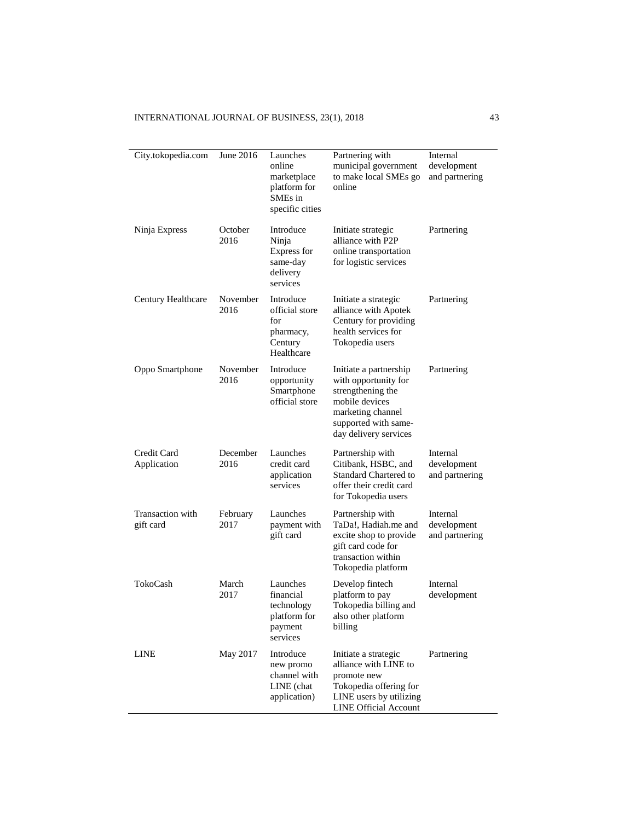| City.tokopedia.com            | June 2016        | Launches<br>online<br>marketplace<br>platform for<br>SME <sub>s</sub> in<br>specific cities | Partnering with<br>municipal government<br>to make local SMEs go<br>online                                                                                  | Internal<br>development<br>and partnering |
|-------------------------------|------------------|---------------------------------------------------------------------------------------------|-------------------------------------------------------------------------------------------------------------------------------------------------------------|-------------------------------------------|
| Ninja Express                 | October<br>2016  | Introduce<br>Ninja<br>Express for<br>same-day<br>delivery<br>services                       | Initiate strategic<br>alliance with P2P<br>online transportation<br>for logistic services                                                                   | Partnering                                |
| Century Healthcare            | November<br>2016 | Introduce<br>official store<br>for<br>pharmacy,<br>Century<br>Healthcare                    | Initiate a strategic<br>alliance with Apotek<br>Century for providing<br>health services for<br>Tokopedia users                                             | Partnering                                |
| Oppo Smartphone               | November<br>2016 | Introduce<br>opportunity<br>Smartphone<br>official store                                    | Initiate a partnership<br>with opportunity for<br>strengthening the<br>mobile devices<br>marketing channel<br>supported with same-<br>day delivery services | Partnering                                |
| Credit Card<br>Application    | December<br>2016 | Launches<br>credit card<br>application<br>services                                          | Partnership with<br>Citibank, HSBC, and<br><b>Standard Chartered to</b><br>offer their credit card<br>for Tokopedia users                                   | Internal<br>development<br>and partnering |
| Transaction with<br>gift card | February<br>2017 | Launches<br>payment with<br>gift card                                                       | Partnership with<br>TaDa!, Hadiah.me and<br>excite shop to provide<br>gift card code for<br>transaction within<br>Tokopedia platform                        | Internal<br>development<br>and partnering |
| TokoCash                      | March<br>2017    | Launches<br>financial<br>technology<br>platform for<br>payment<br>services                  | Develop fintech<br>platform to pay<br>Tokopedia billing and<br>also other platform<br>billing                                                               | Internal<br>development                   |
| <b>LINE</b>                   | May 2017         | Introduce<br>new promo<br>channel with<br>LINE (chat<br>application)                        | Initiate a strategic<br>alliance with LINE to<br>promote new<br>Tokopedia offering for<br>LINE users by utilizing<br><b>LINE Official Account</b>           | Partnering                                |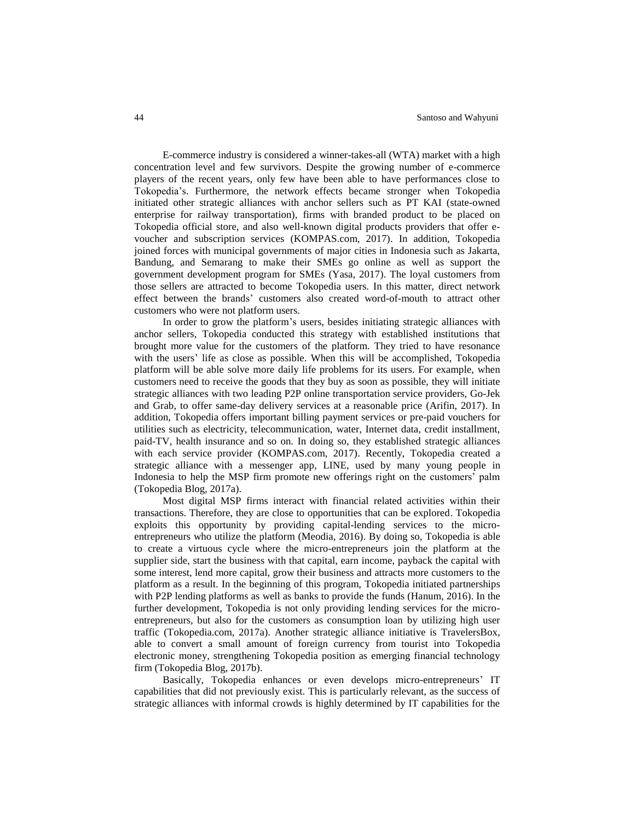E-commerce industry is considered a winner-takes-all (WTA) market with a high concentration level and few survivors. Despite the growing number of e-commerce players of the recent years, only few have been able to have performances close to Tokopedia's. Furthermore, the network effects became stronger when Tokopedia initiated other strategic alliances with anchor sellers such as PT KAI (state-owned enterprise for railway transportation), firms with branded product to be placed on Tokopedia official store, and also well-known digital products providers that offer evoucher and subscription services (KOMPAS.com, 2017). In addition, Tokopedia joined forces with municipal governments of major cities in Indonesia such as Jakarta, Bandung, and Semarang to make their SMEs go online as well as support the government development program for SMEs (Yasa, 2017). The loyal customers from those sellers are attracted to become Tokopedia users. In this matter, direct network effect between the brands' customers also created word-of-mouth to attract other customers who were not platform users.

In order to grow the platform's users, besides initiating strategic alliances with anchor sellers, Tokopedia conducted this strategy with established institutions that brought more value for the customers of the platform. They tried to have resonance with the users' life as close as possible. When this will be accomplished, Tokopedia platform will be able solve more daily life problems for its users. For example, when customers need to receive the goods that they buy as soon as possible, they will initiate strategic alliances with two leading P2P online transportation service providers, Go-Jek and Grab, to offer same-day delivery services at a reasonable price (Arifin, 2017). In addition, Tokopedia offers important billing payment services or pre-paid vouchers for utilities such as electricity, telecommunication, water, Internet data, credit installment, paid-TV, health insurance and so on. In doing so, they established strategic alliances with each service provider (KOMPAS.com, 2017). Recently, Tokopedia created a strategic alliance with a messenger app, LINE, used by many young people in Indonesia to help the MSP firm promote new offerings right on the customers' palm (Tokopedia Blog, 2017a).

Most digital MSP firms interact with financial related activities within their transactions. Therefore, they are close to opportunities that can be explored. Tokopedia exploits this opportunity by providing capital-lending services to the microentrepreneurs who utilize the platform (Meodia, 2016). By doing so, Tokopedia is able to create a virtuous cycle where the micro-entrepreneurs join the platform at the supplier side, start the business with that capital, earn income, payback the capital with some interest, lend more capital, grow their business and attracts more customers to the platform as a result. In the beginning of this program, Tokopedia initiated partnerships with P2P lending platforms as well as banks to provide the funds (Hanum, 2016). In the further development, Tokopedia is not only providing lending services for the microentrepreneurs, but also for the customers as consumption loan by utilizing high user traffic (Tokopedia.com, 2017a). Another strategic alliance initiative is TravelersBox, able to convert a small amount of foreign currency from tourist into Tokopedia electronic money, strengthening Tokopedia position as emerging financial technology firm (Tokopedia Blog, 2017b).

Basically, Tokopedia enhances or even develops micro-entrepreneurs' IT capabilities that did not previously exist. This is particularly relevant, as the success of strategic alliances with informal crowds is highly determined by IT capabilities for the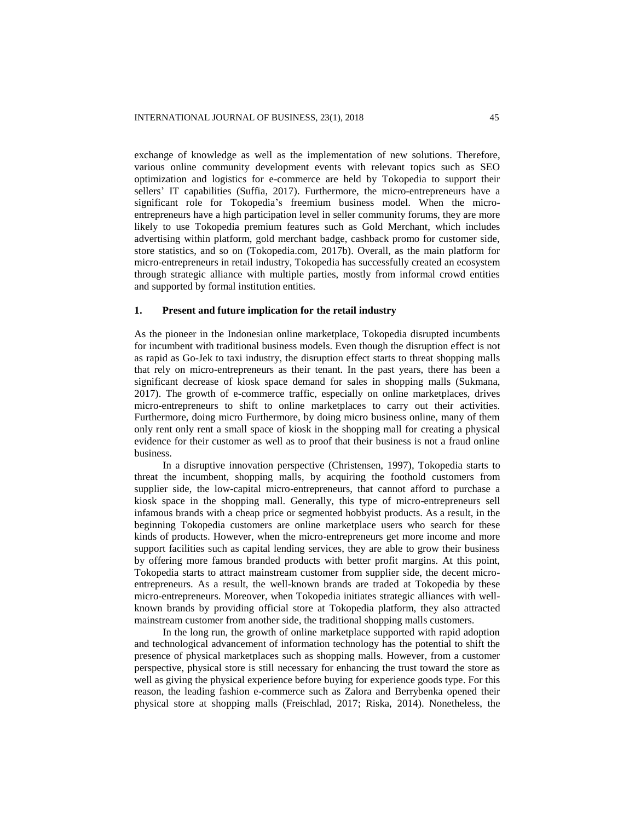exchange of knowledge as well as the implementation of new solutions. Therefore, various online community development events with relevant topics such as SEO optimization and logistics for e-commerce are held by Tokopedia to support their sellers' IT capabilities (Suffia, 2017). Furthermore, the micro-entrepreneurs have a significant role for Tokopedia's freemium business model. When the microentrepreneurs have a high participation level in seller community forums, they are more likely to use Tokopedia premium features such as Gold Merchant, which includes advertising within platform, gold merchant badge, cashback promo for customer side, store statistics, and so on (Tokopedia.com, 2017b). Overall, as the main platform for micro-entrepreneurs in retail industry, Tokopedia has successfully created an ecosystem through strategic alliance with multiple parties, mostly from informal crowd entities and supported by formal institution entities.

## **1. Present and future implication for the retail industry**

As the pioneer in the Indonesian online marketplace, Tokopedia disrupted incumbents for incumbent with traditional business models. Even though the disruption effect is not as rapid as Go-Jek to taxi industry, the disruption effect starts to threat shopping malls that rely on micro-entrepreneurs as their tenant. In the past years, there has been a significant decrease of kiosk space demand for sales in shopping malls (Sukmana, 2017). The growth of e-commerce traffic, especially on online marketplaces, drives micro-entrepreneurs to shift to online marketplaces to carry out their activities. Furthermore, doing micro Furthermore, by doing micro business online, many of them only rent only rent a small space of kiosk in the shopping mall for creating a physical evidence for their customer as well as to proof that their business is not a fraud online business.

In a disruptive innovation perspective (Christensen, 1997), Tokopedia starts to threat the incumbent, shopping malls, by acquiring the foothold customers from supplier side, the low-capital micro-entrepreneurs, that cannot afford to purchase a kiosk space in the shopping mall. Generally, this type of micro-entrepreneurs sell infamous brands with a cheap price or segmented hobbyist products. As a result, in the beginning Tokopedia customers are online marketplace users who search for these kinds of products. However, when the micro-entrepreneurs get more income and more support facilities such as capital lending services, they are able to grow their business by offering more famous branded products with better profit margins. At this point, Tokopedia starts to attract mainstream customer from supplier side, the decent microentrepreneurs. As a result, the well-known brands are traded at Tokopedia by these micro-entrepreneurs. Moreover, when Tokopedia initiates strategic alliances with wellknown brands by providing official store at Tokopedia platform, they also attracted mainstream customer from another side, the traditional shopping malls customers.

In the long run, the growth of online marketplace supported with rapid adoption and technological advancement of information technology has the potential to shift the presence of physical marketplaces such as shopping malls. However, from a customer perspective, physical store is still necessary for enhancing the trust toward the store as well as giving the physical experience before buying for experience goods type. For this reason, the leading fashion e-commerce such as Zalora and Berrybenka opened their physical store at shopping malls (Freischlad, 2017; Riska, 2014). Nonetheless, the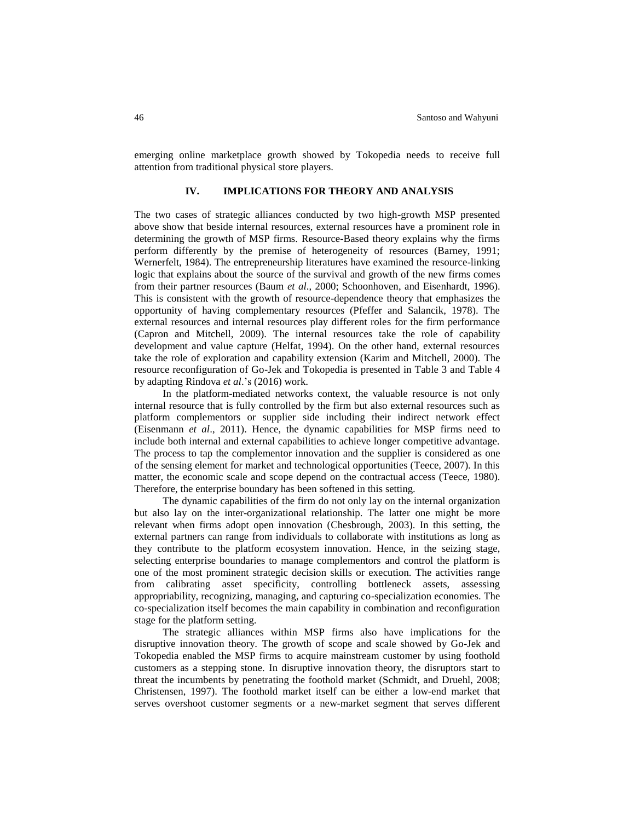emerging online marketplace growth showed by Tokopedia needs to receive full attention from traditional physical store players.

## **IV. IMPLICATIONS FOR THEORY AND ANALYSIS**

The two cases of strategic alliances conducted by two high-growth MSP presented above show that beside internal resources, external resources have a prominent role in determining the growth of MSP firms. Resource-Based theory explains why the firms perform differently by the premise of heterogeneity of resources (Barney, 1991; Wernerfelt, 1984). The entrepreneurship literatures have examined the resource-linking logic that explains about the source of the survival and growth of the new firms comes from their partner resources (Baum *et al*., 2000; Schoonhoven, and Eisenhardt, 1996). This is consistent with the growth of resource-dependence theory that emphasizes the opportunity of having complementary resources (Pfeffer and Salancik, 1978). The external resources and internal resources play different roles for the firm performance (Capron and Mitchell, 2009). The internal resources take the role of capability development and value capture (Helfat, 1994). On the other hand, external resources take the role of exploration and capability extension (Karim and Mitchell, 2000). The resource reconfiguration of Go-Jek and Tokopedia is presented in Table 3 and Table 4 by adapting Rindova *et al*.'s (2016) work.

In the platform-mediated networks context, the valuable resource is not only internal resource that is fully controlled by the firm but also external resources such as platform complementors or supplier side including their indirect network effect (Eisenmann *et al*., 2011). Hence, the dynamic capabilities for MSP firms need to include both internal and external capabilities to achieve longer competitive advantage. The process to tap the complementor innovation and the supplier is considered as one of the sensing element for market and technological opportunities (Teece, 2007). In this matter, the economic scale and scope depend on the contractual access (Teece, 1980). Therefore, the enterprise boundary has been softened in this setting.

The dynamic capabilities of the firm do not only lay on the internal organization but also lay on the inter-organizational relationship. The latter one might be more relevant when firms adopt open innovation (Chesbrough, 2003). In this setting, the external partners can range from individuals to collaborate with institutions as long as they contribute to the platform ecosystem innovation. Hence, in the seizing stage, selecting enterprise boundaries to manage complementors and control the platform is one of the most prominent strategic decision skills or execution. The activities range from calibrating asset specificity, controlling bottleneck assets, assessing appropriability, recognizing, managing, and capturing co-specialization economies. The co-specialization itself becomes the main capability in combination and reconfiguration stage for the platform setting.

The strategic alliances within MSP firms also have implications for the disruptive innovation theory. The growth of scope and scale showed by Go-Jek and Tokopedia enabled the MSP firms to acquire mainstream customer by using foothold customers as a stepping stone. In disruptive innovation theory, the disruptors start to threat the incumbents by penetrating the foothold market (Schmidt, and Druehl, 2008; Christensen, 1997). The foothold market itself can be either a low-end market that serves overshoot customer segments or a new-market segment that serves different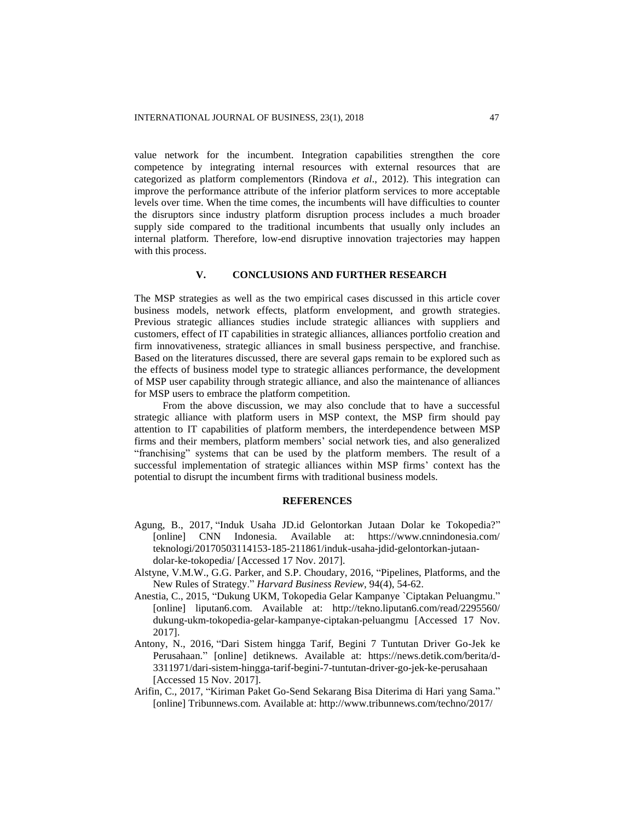value network for the incumbent. Integration capabilities strengthen the core competence by integrating internal resources with external resources that are categorized as platform complementors (Rindova *et al*., 2012). This integration can improve the performance attribute of the inferior platform services to more acceptable levels over time. When the time comes, the incumbents will have difficulties to counter the disruptors since industry platform disruption process includes a much broader supply side compared to the traditional incumbents that usually only includes an internal platform. Therefore, low-end disruptive innovation trajectories may happen with this process.

# **V. CONCLUSIONS AND FURTHER RESEARCH**

The MSP strategies as well as the two empirical cases discussed in this article cover business models, network effects, platform envelopment, and growth strategies. Previous strategic alliances studies include strategic alliances with suppliers and customers, effect of IT capabilities in strategic alliances, alliances portfolio creation and firm innovativeness, strategic alliances in small business perspective, and franchise. Based on the literatures discussed, there are several gaps remain to be explored such as the effects of business model type to strategic alliances performance, the development of MSP user capability through strategic alliance, and also the maintenance of alliances for MSP users to embrace the platform competition.

From the above discussion, we may also conclude that to have a successful strategic alliance with platform users in MSP context, the MSP firm should pay attention to IT capabilities of platform members, the interdependence between MSP firms and their members, platform members' social network ties, and also generalized "franchising" systems that can be used by the platform members. The result of a successful implementation of strategic alliances within MSP firms' context has the potential to disrupt the incumbent firms with traditional business models.

# **REFERENCES**

- Agung, B., 2017, "Induk Usaha JD.id Gelontorkan Jutaan Dolar ke Tokopedia?" [online] CNN Indonesia. Available at: https://www.cnnindonesia.com/ teknologi/20170503114153-185-211861/induk-usaha-jdid-gelontorkan-jutaandolar-ke-tokopedia/ [Accessed 17 Nov. 2017].
- Alstyne, V.M.W., G.G. Parker, and S.P. Choudary, 2016, "Pipelines, Platforms, and the New Rules of Strategy." *Harvard Business Review*, 94(4), 54-62.
- Anestia, C., 2015, "Dukung UKM, Tokopedia Gelar Kampanye `Ciptakan Peluangmu." [online] liputan6.com. Available at: http://tekno.liputan6.com/read/2295560/ dukung-ukm-tokopedia-gelar-kampanye-ciptakan-peluangmu [Accessed 17 Nov. 2017].
- Antony, N., 2016, "Dari Sistem hingga Tarif, Begini 7 Tuntutan Driver Go-Jek ke Perusahaan." [online] detiknews. Available at: https://news.detik.com/berita/d-3311971/dari-sistem-hingga-tarif-begini-7-tuntutan-driver-go-jek-ke-perusahaan [Accessed 15 Nov. 2017].
- Arifin, C., 2017, "Kiriman Paket Go-Send Sekarang Bisa Diterima di Hari yang Sama." [online] Tribunnews.com. Available at: http://www.tribunnews.com/techno/2017/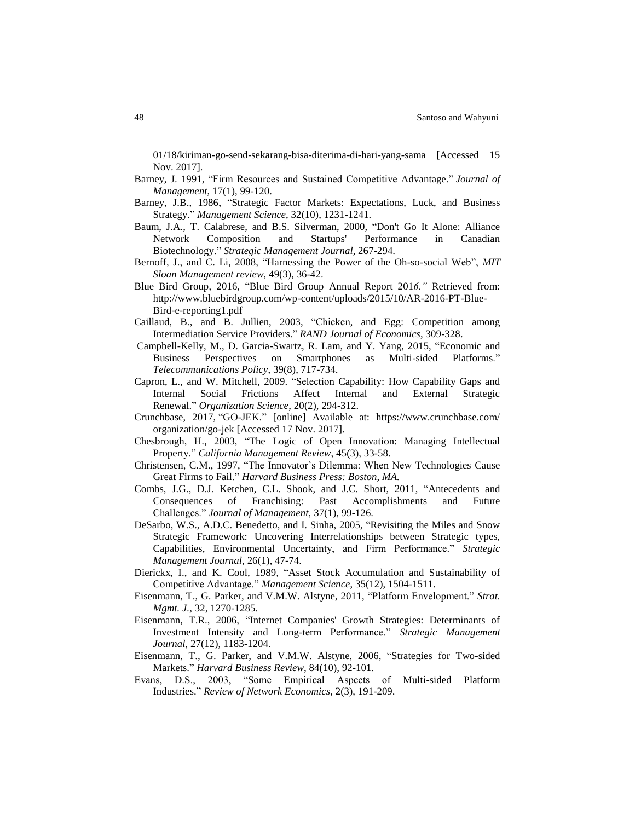01/18/kiriman-go-send-sekarang-bisa-diterima-di-hari-yang-sama [Accessed 15 Nov. 2017].

- Barney, J. 1991, "Firm Resources and Sustained Competitive Advantage." *Journal of Management*, 17(1), 99-120.
- Barney, J.B., 1986, "Strategic Factor Markets: Expectations, Luck, and Business Strategy." *Management Science*, 32(10), 1231-1241.
- Baum, J.A., T. Calabrese, and B.S. Silverman, 2000, "Don't Go It Alone: Alliance Network Composition and Startups' Performance in Canadian Biotechnology." *Strategic Management Journal*, 267-294.
- Bernoff, J., and C. Li, 2008, "Harnessing the Power of the Oh-so-social Web", *MIT Sloan Management review*, 49(3), 36-42.
- Blue Bird Group, 2016, "Blue Bird Group Annual Report 201*6."* Retrieved from: http://www.bluebirdgroup.com/wp-content/uploads/2015/10/AR-2016-PT-Blue-Bird-e-reporting1.pdf
- Caillaud, B., and B. Jullien, 2003, "Chicken, and Egg: Competition among Intermediation Service Providers." *RAND Journal of Economics*, 309-328.
- Campbell-Kelly, M., D. Garcia-Swartz, R. Lam, and Y. Yang, 2015, "Economic and Business Perspectives on Smartphones as Multi-sided Platforms." *Telecommunications Policy*, 39(8), 717-734.
- Capron, L., and W. Mitchell, 2009. "Selection Capability: How Capability Gaps and Internal Social Frictions Affect Internal and External Strategic Renewal." *Organization Science*, 20(2), 294-312.
- Crunchbase, 2017, "GO-JEK." [online] Available at: https://www.crunchbase.com/ organization/go-jek [Accessed 17 Nov. 2017].
- Chesbrough, H., 2003, "The Logic of Open Innovation: Managing Intellectual Property." *California Management Review*, 45(3), 33-58.
- Christensen, C.M., 1997, "The Innovator's Dilemma: When New Technologies Cause Great Firms to Fail." *Harvard Business Press: Boston, MA.*
- Combs, J.G., D.J. Ketchen, C.L. Shook, and J.C. Short, 2011, "Antecedents and Consequences of Franchising: Past Accomplishments and Future Challenges." *Journal of Management*, 37(1), 99-126.
- DeSarbo, W.S., A.D.C. Benedetto, and I. Sinha, 2005, "Revisiting the Miles and Snow Strategic Framework: Uncovering Interrelationships between Strategic types, Capabilities, Environmental Uncertainty, and Firm Performance." *Strategic Management Journal*, 26(1), 47-74.
- Dierickx, I., and K. Cool, 1989, "Asset Stock Accumulation and Sustainability of Competitive Advantage." *Management Science*, 35(12), 1504-1511.
- Eisenmann, T., G. Parker, and V.M.W. Alstyne, 2011, "Platform Envelopment." *Strat. Mgmt. J.,* 32, 1270-1285.
- Eisenmann, T.R., 2006, "Internet Companies' Growth Strategies: Determinants of Investment Intensity and Long-term Performance." *Strategic Management Journal*, 27(12), 1183-1204.
- Eisenmann, T., G. Parker, and V.M.W. Alstyne, 2006, "Strategies for Two-sided Markets." *Harvard Business Review*, 84(10), 92-101.
- Evans, D.S., 2003, "Some Empirical Aspects of Multi-sided Platform Industries." *Review of Network Economics*, 2(3), 191-209.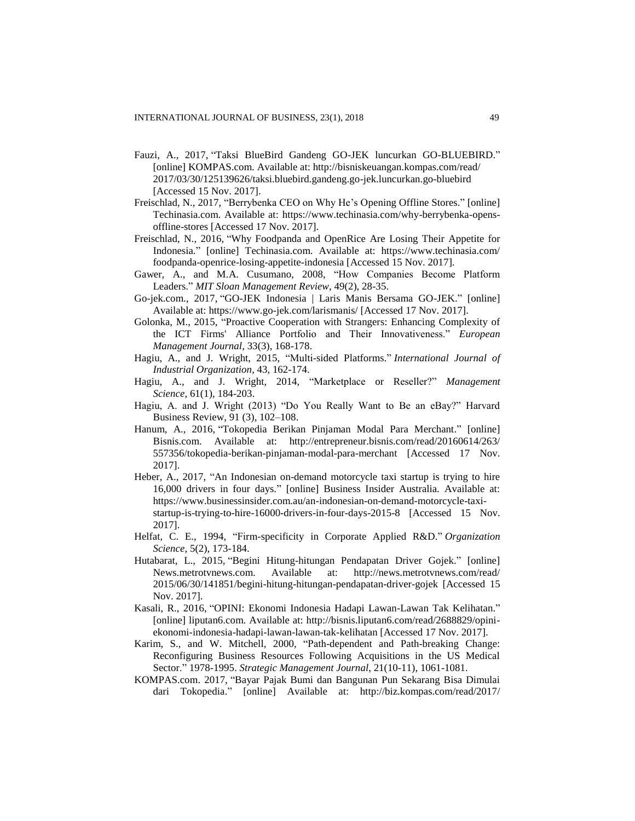- Fauzi, A., 2017, "Taksi BlueBird Gandeng GO-JEK luncurkan GO-BLUEBIRD." [online] KOMPAS.com. Available at: http://bisniskeuangan.kompas.com/read/ 2017/03/30/125139626/taksi.bluebird.gandeng.go-jek.luncurkan.go-bluebird [Accessed 15 Nov. 2017].
- Freischlad, N., 2017, "Berrybenka CEO on Why He's Opening Offline Stores." [online] Techinasia.com. Available at: https://www.techinasia.com/why-berrybenka-opensoffline-stores [Accessed 17 Nov. 2017].
- Freischlad, N., 2016, "Why Foodpanda and OpenRice Are Losing Their Appetite for Indonesia." [online] Techinasia.com. Available at: https://www.techinasia.com/ foodpanda-openrice-losing-appetite-indonesia [Accessed 15 Nov. 2017].
- Gawer, A., and M.A. Cusumano, 2008, "How Companies Become Platform Leaders." *MIT Sloan Management Review*, 49(2), 28-35.
- Go-jek.com., 2017, "GO-JEK Indonesia | Laris Manis Bersama GO-JEK." [online] Available at: https://www.go-jek.com/larismanis/ [Accessed 17 Nov. 2017].
- Golonka, M., 2015, "Proactive Cooperation with Strangers: Enhancing Complexity of the ICT Firms' Alliance Portfolio and Their Innovativeness." *European Management Journal*, 33(3), 168-178.
- Hagiu, A., and J. Wright, 2015, "Multi-sided Platforms." *International Journal of Industrial Organization*, 43, 162-174.
- Hagiu, A., and J. Wright, 2014, "Marketplace or Reseller?" *Management Science*, 61(1), 184-203.
- Hagiu, A. and J. Wright (2013) "Do You Really Want to Be an eBay?" Harvard Business Review, 91 (3), 102–108.
- Hanum, A., 2016, "Tokopedia Berikan Pinjaman Modal Para Merchant." [online] Bisnis.com. Available at: http://entrepreneur.bisnis.com/read/20160614/263/ 557356/tokopedia-berikan-pinjaman-modal-para-merchant [Accessed 17 Nov. 2017].
- Heber, A., 2017, "An Indonesian on-demand motorcycle taxi startup is trying to hire 16,000 drivers in four days." [online] Business Insider Australia. Available at: https://www.businessinsider.com.au/an-indonesian-on-demand-motorcycle-taxistartup-is-trying-to-hire-16000-drivers-in-four-days-2015-8 [Accessed 15 Nov. 2017].
- Helfat, C. E., 1994, "Firm-specificity in Corporate Applied R&D." *Organization Science*, 5(2), 173-184.
- Hutabarat, L., 2015, "Begini Hitung-hitungan Pendapatan Driver Gojek." [online] News.metrotvnews.com. Available at: http://news.metrotvnews.com/read/ 2015/06/30/141851/begini-hitung-hitungan-pendapatan-driver-gojek [Accessed 15 Nov. 2017].
- Kasali, R., 2016, "OPINI: Ekonomi Indonesia Hadapi Lawan-Lawan Tak Kelihatan." [online] liputan6.com. Available at: http://bisnis.liputan6.com/read/2688829/opiniekonomi-indonesia-hadapi-lawan-lawan-tak-kelihatan [Accessed 17 Nov. 2017].
- Karim, S., and W. Mitchell, 2000, "Path-dependent and Path-breaking Change: Reconfiguring Business Resources Following Acquisitions in the US Medical Sector." 1978-1995. *Strategic Management Journal*, 21(10-11), 1061-1081.
- KOMPAS.com. 2017, "Bayar Pajak Bumi dan Bangunan Pun Sekarang Bisa Dimulai dari Tokopedia." [online] Available at: http://biz.kompas.com/read/2017/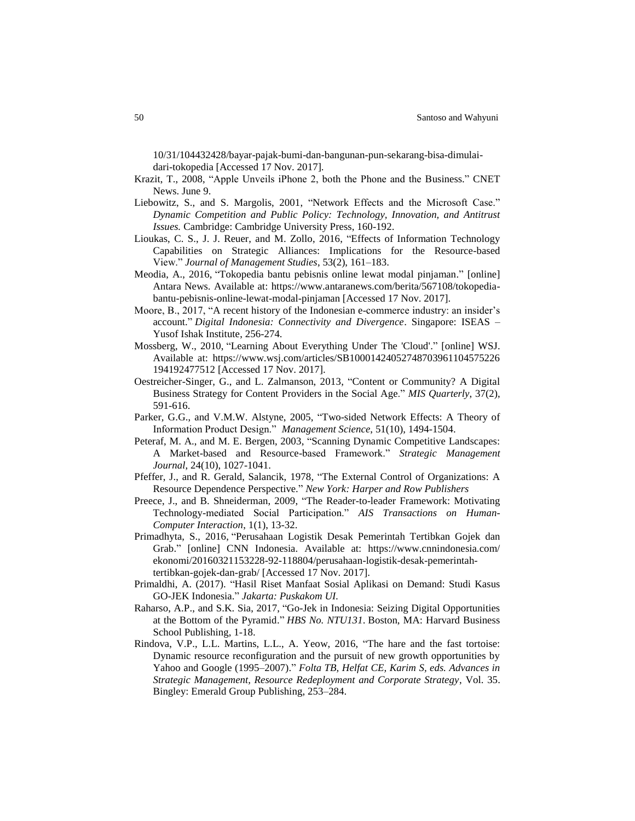10/31/104432428/bayar-pajak-bumi-dan-bangunan-pun-sekarang-bisa-dimulaidari-tokopedia [Accessed 17 Nov. 2017].

- Krazit, T., 2008, "Apple Unveils iPhone 2, both the Phone and the Business." CNET News. June 9.
- Liebowitz, S., and S. Margolis, 2001, "Network Effects and the Microsoft Case." *Dynamic Competition and Public Policy: Technology, Innovation, and Antitrust Issues.* Cambridge: Cambridge University Press, 160-192.
- Lioukas, C. S., J. J. Reuer, and M. Zollo, 2016, "Effects of Information Technology Capabilities on Strategic Alliances: Implications for the Resource-based View." *Journal of Management Studies*, 53(2), 161–183.
- Meodia, A., 2016, "Tokopedia bantu pebisnis online lewat modal pinjaman." [online] Antara News. Available at: https://www.antaranews.com/berita/567108/tokopediabantu-pebisnis-online-lewat-modal-pinjaman [Accessed 17 Nov. 2017].
- Moore, B., 2017, "A recent history of the Indonesian e-commerce industry: an insider's account." *Digital Indonesia: Connectivity and Divergence*. Singapore: ISEAS – Yusof Ishak Institute, 256-274.
- Mossberg, W., 2010, "Learning About Everything Under The 'Cloud'." [online] WSJ. Available at: https://www.wsj.com/articles/SB10001424052748703961104575226 194192477512 [Accessed 17 Nov. 2017].
- Oestreicher-Singer, G., and L. Zalmanson, 2013, "Content or Community? A Digital Business Strategy for Content Providers in the Social Age." *MIS Quarterly*, 37(2), 591-616.
- Parker, G.G., and V.M.W. Alstyne, 2005, "Two-sided Network Effects: A Theory of Information Product Design." *Management Science*, 51(10), 1494-1504.
- Peteraf, M. A., and M. E. Bergen, 2003, "Scanning Dynamic Competitive Landscapes: A Market-based and Resource-based Framework." *Strategic Management Journal*, 24(10), 1027-1041.
- Pfeffer, J., and R. Gerald, Salancik, 1978, "The External Control of Organizations: A Resource Dependence Perspective." *New York: Harper and Row Publishers*
- Preece, J., and B. Shneiderman, 2009, "The Reader-to-leader Framework: Motivating Technology-mediated Social Participation." *AIS Transactions on Human-Computer Interaction*, 1(1), 13-32.
- Primadhyta, S., 2016, "Perusahaan Logistik Desak Pemerintah Tertibkan Gojek dan Grab." [online] CNN Indonesia. Available at: https://www.cnnindonesia.com/ ekonomi/20160321153228-92-118804/perusahaan-logistik-desak-pemerintahtertibkan-gojek-dan-grab/ [Accessed 17 Nov. 2017].
- Primaldhi, A. (2017). "Hasil Riset Manfaat Sosial Aplikasi on Demand: Studi Kasus GO-JEK Indonesia." *Jakarta: Puskakom UI.*
- Raharso, A.P., and S.K. Sia, 2017, "Go-Jek in Indonesia: Seizing Digital Opportunities at the Bottom of the Pyramid." *HBS No. NTU131*. Boston, MA: Harvard Business School Publishing, 1-18.
- Rindova, V.P., L.L. Martins, L.L., A. Yeow, 2016, "The hare and the fast tortoise: Dynamic resource reconfiguration and the pursuit of new growth opportunities by Yahoo and Google (1995–2007)." *Folta TB, Helfat CE, Karim S, eds. Advances in Strategic Management, Resource Redeployment and Corporate Strategy*, Vol. 35. Bingley: Emerald Group Publishing, 253–284.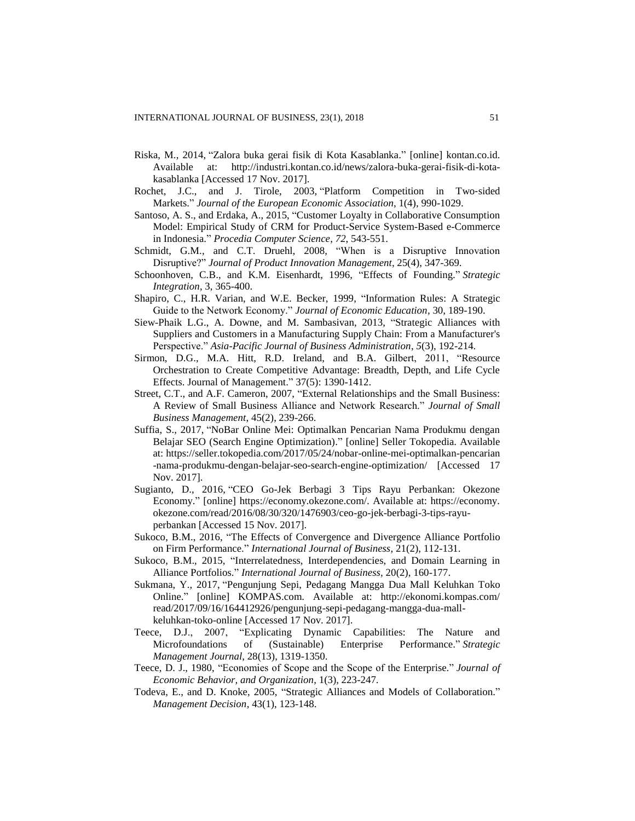- Riska, M., 2014, "Zalora buka gerai fisik di Kota Kasablanka." [online] kontan.co.id. Available at: http://industri.kontan.co.id/news/zalora-buka-gerai-fisik-di-kotakasablanka [Accessed 17 Nov. 2017].
- Rochet, J.C., and J. Tirole, 2003, "Platform Competition in Two-sided Markets." *Journal of the European Economic Association*, 1(4), 990-1029.
- Santoso, A. S., and Erdaka, A., 2015, "Customer Loyalty in Collaborative Consumption Model: Empirical Study of CRM for Product-Service System-Based e-Commerce in Indonesia." *Procedia Computer Science*, *72*, 543-551.
- Schmidt, G.M., and C.T. Druehl, 2008, "When is a Disruptive Innovation Disruptive?" *Journal of Product Innovation Management*, 25(4), 347-369.
- Schoonhoven, C.B., and K.M. Eisenhardt, 1996, "Effects of Founding." *Strategic Integration*, 3, 365-400.
- Shapiro, C., H.R. Varian, and W.E. Becker, 1999, "Information Rules: A Strategic Guide to the Network Economy." *Journal of Economic Education*, 30, 189-190.
- Siew-Phaik L.G., A. Downe, and M. Sambasivan, 2013, "Strategic Alliances with Suppliers and Customers in a Manufacturing Supply Chain: From a Manufacturer's Perspective." *Asia-Pacific Journal of Business Administration*, *5*(3), 192-214.
- Sirmon, D.G., M.A. Hitt, R.D. Ireland, and B.A. Gilbert, 2011, "Resource Orchestration to Create Competitive Advantage: Breadth, Depth, and Life Cycle Effects. Journal of Management." 37(5): 1390-1412.
- Street, C.T., and A.F. Cameron, 2007, "External Relationships and the Small Business: A Review of Small Business Alliance and Network Research." *Journal of Small Business Management*, 45(2), 239-266.
- Suffia, S., 2017, "NoBar Online Mei: Optimalkan Pencarian Nama Produkmu dengan Belajar SEO (Search Engine Optimization)." [online] Seller Tokopedia. Available at: https://seller.tokopedia.com/2017/05/24/nobar-online-mei-optimalkan-pencarian -nama-produkmu-dengan-belajar-seo-search-engine-optimization/ [Accessed 17 Nov. 2017].
- Sugianto, D., 2016, "CEO Go-Jek Berbagi 3 Tips Rayu Perbankan: Okezone Economy." [online] https://economy.okezone.com/. Available at: https://economy. okezone.com/read/2016/08/30/320/1476903/ceo-go-jek-berbagi-3-tips-rayuperbankan [Accessed 15 Nov. 2017].
- Sukoco, B.M., 2016, "The Effects of Convergence and Divergence Alliance Portfolio on Firm Performance." *International Journal of Business*, 21(2), 112-131.
- Sukoco, B.M., 2015, "Interrelatedness, Interdependencies, and Domain Learning in Alliance Portfolios." *International Journal of Business*, 20(2), 160-177.
- Sukmana, Y., 2017, "Pengunjung Sepi, Pedagang Mangga Dua Mall Keluhkan Toko Online." [online] KOMPAS.com. Available at: http://ekonomi.kompas.com/ read/2017/09/16/164412926/pengunjung-sepi-pedagang-mangga-dua-mallkeluhkan-toko-online [Accessed 17 Nov. 2017].
- Teece, D.J., 2007, "Explicating Dynamic Capabilities: The Nature and Microfoundations of (Sustainable) Enterprise Performance." *Strategic Management Journal*, 28(13), 1319-1350.
- Teece, D. J., 1980, "Economies of Scope and the Scope of the Enterprise." *Journal of Economic Behavior, and Organization*, 1(3), 223-247.
- Todeva, E., and D. Knoke, 2005, "Strategic Alliances and Models of Collaboration." *Management Decision*, 43(1), 123-148.